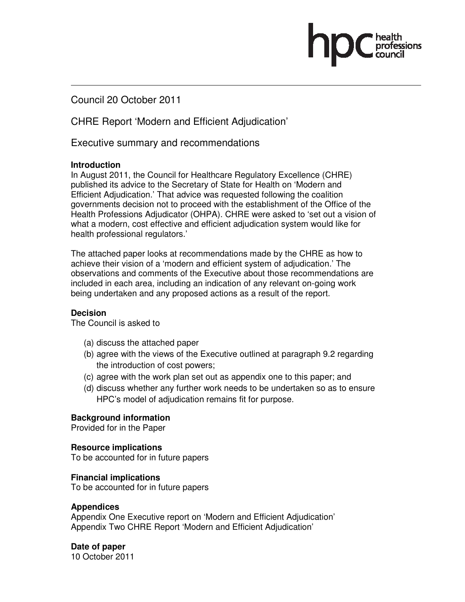Council 20 October 2011

CHRE Report 'Modern and Efficient Adjudication'

Executive summary and recommendations

#### **Introduction**

In August 2011, the Council for Healthcare Regulatory Excellence (CHRE) published its advice to the Secretary of State for Health on 'Modern and Efficient Adjudication.' That advice was requested following the coalition governments decision not to proceed with the establishment of the Office of the Health Professions Adjudicator (OHPA). CHRE were asked to 'set out a vision of what a modern, cost effective and efficient adjudication system would like for health professional regulators.'

The attached paper looks at recommendations made by the CHRE as how to achieve their vision of a 'modern and efficient system of adjudication.' The observations and comments of the Executive about those recommendations are included in each area, including an indication of any relevant on-going work being undertaken and any proposed actions as a result of the report.

#### **Decision**

The Council is asked to

- (a) discuss the attached paper
- (b) agree with the views of the Executive outlined at paragraph 9.2 regarding the introduction of cost powers;
- (c) agree with the work plan set out as appendix one to this paper; and
- (d) discuss whether any further work needs to be undertaken so as to ensure HPC's model of adjudication remains fit for purpose.

#### **Background information**

Provided for in the Paper

### **Resource implications**

To be accounted for in future papers

#### **Financial implications**

To be accounted for in future papers

#### **Appendices**

Appendix One Executive report on 'Modern and Efficient Adjudication' Appendix Two CHRE Report 'Modern and Efficient Adjudication'

### **Date of paper**

10 October 2011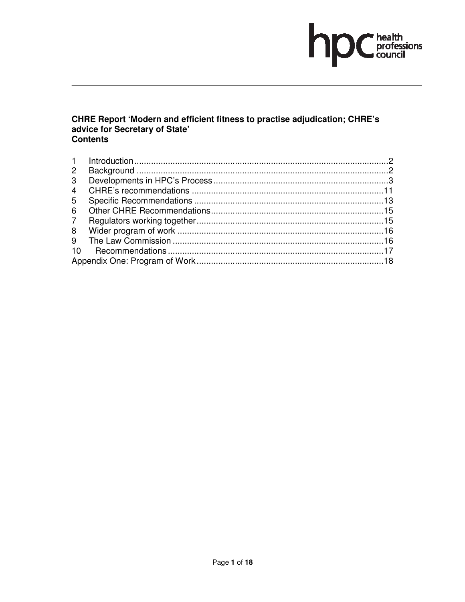### hp  $\bigcap \limits_{\text{conditions}} \overline{\hspace{-1.2cm}} \hspace{-1.5cm} \begin{array}{c} \text{health} \\ \text{professions} \end{array}$

# CHRE Report 'Modern and efficient fitness to practise adjudication; CHRE's advice for Secretary of State'<br>Contents

| 1                    |  |  |  |
|----------------------|--|--|--|
| $\mathbf{2}^{\circ}$ |  |  |  |
| 3                    |  |  |  |
| 4                    |  |  |  |
| 5                    |  |  |  |
| 6                    |  |  |  |
| $7^{\circ}$          |  |  |  |
| 8                    |  |  |  |
| 9                    |  |  |  |
| 10                   |  |  |  |
|                      |  |  |  |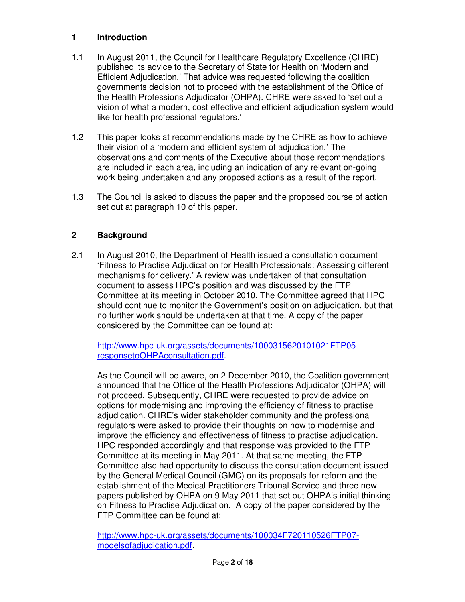### **1 Introduction**

- 1.1 In August 2011, the Council for Healthcare Regulatory Excellence (CHRE) published its advice to the Secretary of State for Health on 'Modern and Efficient Adjudication.' That advice was requested following the coalition governments decision not to proceed with the establishment of the Office of the Health Professions Adjudicator (OHPA). CHRE were asked to 'set out a vision of what a modern, cost effective and efficient adjudication system would like for health professional regulators.'
- 1.2 This paper looks at recommendations made by the CHRE as how to achieve their vision of a 'modern and efficient system of adjudication.' The observations and comments of the Executive about those recommendations are included in each area, including an indication of any relevant on-going work being undertaken and any proposed actions as a result of the report.
- 1.3 The Council is asked to discuss the paper and the proposed course of action set out at paragraph 10 of this paper.

### **2 Background**

2.1 In August 2010, the Department of Health issued a consultation document 'Fitness to Practise Adjudication for Health Professionals: Assessing different mechanisms for delivery.' A review was undertaken of that consultation document to assess HPC's position and was discussed by the FTP Committee at its meeting in October 2010. The Committee agreed that HPC should continue to monitor the Government's position on adjudication, but that no further work should be undertaken at that time. A copy of the paper considered by the Committee can be found at:

http://www.hpc-uk.org/assets/documents/1000315620101021FTP05 responsetoOHPAconsultation.pdf.

As the Council will be aware, on 2 December 2010, the Coalition government announced that the Office of the Health Professions Adjudicator (OHPA) will not proceed. Subsequently, CHRE were requested to provide advice on options for modernising and improving the efficiency of fitness to practise adjudication. CHRE's wider stakeholder community and the professional regulators were asked to provide their thoughts on how to modernise and improve the efficiency and effectiveness of fitness to practise adjudication. HPC responded accordingly and that response was provided to the FTP Committee at its meeting in May 2011. At that same meeting, the FTP Committee also had opportunity to discuss the consultation document issued by the General Medical Council (GMC) on its proposals for reform and the establishment of the Medical Practitioners Tribunal Service and three new papers published by OHPA on 9 May 2011 that set out OHPA's initial thinking on Fitness to Practise Adjudication. A copy of the paper considered by the FTP Committee can be found at:

http://www.hpc-uk.org/assets/documents/100034F720110526FTP07 modelsofadjudication.pdf.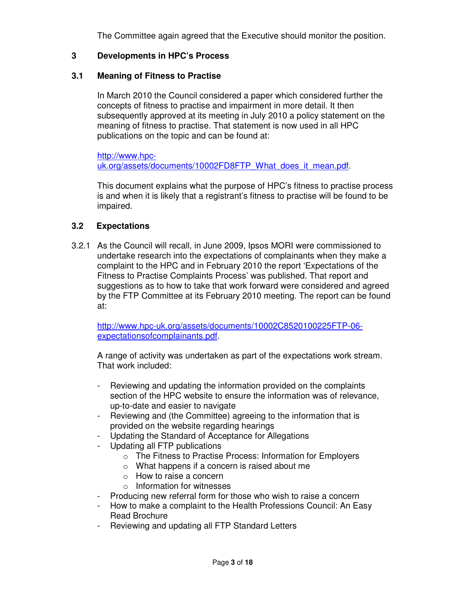The Committee again agreed that the Executive should monitor the position.

### **3 Developments in HPC's Process**

### **3.1 Meaning of Fitness to Practise**

In March 2010 the Council considered a paper which considered further the concepts of fitness to practise and impairment in more detail. It then subsequently approved at its meeting in July 2010 a policy statement on the meaning of fitness to practise. That statement is now used in all HPC publications on the topic and can be found at:

http://www.hpcuk.org/assets/documents/10002FD8FTP\_What\_does\_it\_mean.pdf.

This document explains what the purpose of HPC's fitness to practise process is and when it is likely that a registrant's fitness to practise will be found to be impaired.

### **3.2 Expectations**

3.2.1 As the Council will recall, in June 2009, Ipsos MORI were commissioned to undertake research into the expectations of complainants when they make a complaint to the HPC and in February 2010 the report 'Expectations of the Fitness to Practise Complaints Process' was published. That report and suggestions as to how to take that work forward were considered and agreed by the FTP Committee at its February 2010 meeting. The report can be found at:

http://www.hpc-uk.org/assets/documents/10002C8520100225FTP-06 expectationsofcomplainants.pdf.

A range of activity was undertaken as part of the expectations work stream. That work included:

- Reviewing and updating the information provided on the complaints section of the HPC website to ensure the information was of relevance, up-to-date and easier to navigate
- Reviewing and (the Committee) agreeing to the information that is provided on the website regarding hearings
- Updating the Standard of Acceptance for Allegations
- Updating all FTP publications
	- o The Fitness to Practise Process: Information for Employers
	- o What happens if a concern is raised about me
	- o How to raise a concern
	- o Information for witnesses
- Producing new referral form for those who wish to raise a concern
- How to make a complaint to the Health Professions Council: An Easy Read Brochure
- Reviewing and updating all FTP Standard Letters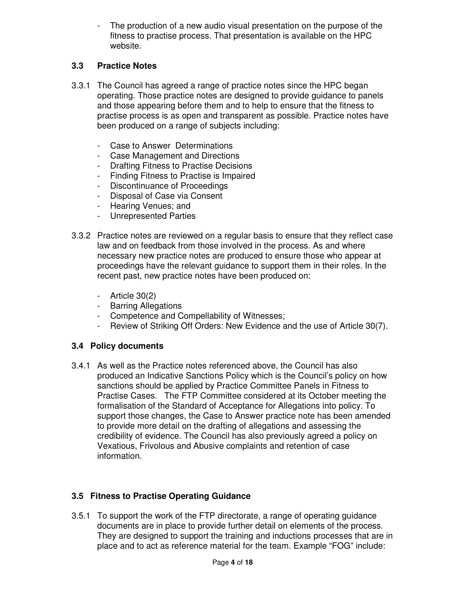The production of a new audio visual presentation on the purpose of the fitness to practise process. That presentation is available on the HPC website.

### **3.3 Practice Notes**

- 3.3.1 The Council has agreed a range of practice notes since the HPC began operating. Those practice notes are designed to provide guidance to panels and those appearing before them and to help to ensure that the fitness to practise process is as open and transparent as possible. Practice notes have been produced on a range of subjects including:
	- Case to Answer Determinations
	- Case Management and Directions
	- Drafting Fitness to Practise Decisions
	- Finding Fitness to Practise is Impaired
	- Discontinuance of Proceedings
	- Disposal of Case via Consent
	- Hearing Venues; and
	- Unrepresented Parties
- 3.3.2 Practice notes are reviewed on a regular basis to ensure that they reflect case law and on feedback from those involved in the process. As and where necessary new practice notes are produced to ensure those who appear at proceedings have the relevant guidance to support them in their roles. In the recent past, new practice notes have been produced on:
	- Article 30(2)
	- Barring Allegations
	- Competence and Compellability of Witnesses;
	- Review of Striking Off Orders: New Evidence and the use of Article 30(7).

### **3.4 Policy documents**

3.4.1 As well as the Practice notes referenced above, the Council has also produced an Indicative Sanctions Policy which is the Council's policy on how sanctions should be applied by Practice Committee Panels in Fitness to Practise Cases. The FTP Committee considered at its October meeting the formalisation of the Standard of Acceptance for Allegations into policy. To support those changes, the Case to Answer practice note has been amended to provide more detail on the drafting of allegations and assessing the credibility of evidence. The Council has also previously agreed a policy on Vexatious, Frivolous and Abusive complaints and retention of case information.

### **3.5 Fitness to Practise Operating Guidance**

3.5.1 To support the work of the FTP directorate, a range of operating guidance documents are in place to provide further detail on elements of the process. They are designed to support the training and inductions processes that are in place and to act as reference material for the team. Example "FOG" include: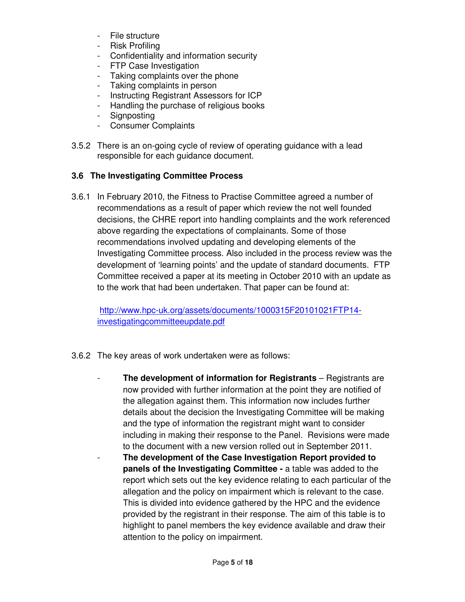- File structure
- Risk Profiling
- Confidentiality and information security
- FTP Case Investigation
- Taking complaints over the phone
- Taking complaints in person
- Instructing Registrant Assessors for ICP
- Handling the purchase of religious books
- Signposting
- Consumer Complaints
- 3.5.2 There is an on-going cycle of review of operating guidance with a lead responsible for each guidance document.

### **3.6 The Investigating Committee Process**

3.6.1 In February 2010, the Fitness to Practise Committee agreed a number of recommendations as a result of paper which review the not well founded decisions, the CHRE report into handling complaints and the work referenced above regarding the expectations of complainants. Some of those recommendations involved updating and developing elements of the Investigating Committee process. Also included in the process review was the development of 'learning points' and the update of standard documents. FTP Committee received a paper at its meeting in October 2010 with an update as to the work that had been undertaken. That paper can be found at:

http://www.hpc-uk.org/assets/documents/1000315F20101021FTP14 investigatingcommitteeupdate.pdf

- 3.6.2 The key areas of work undertaken were as follows:
	- **The development of information for Registrants** Registrants are now provided with further information at the point they are notified of the allegation against them. This information now includes further details about the decision the Investigating Committee will be making and the type of information the registrant might want to consider including in making their response to the Panel. Revisions were made to the document with a new version rolled out in September 2011.
		- **The development of the Case Investigation Report provided to panels of the Investigating Committee -** a table was added to the report which sets out the key evidence relating to each particular of the allegation and the policy on impairment which is relevant to the case. This is divided into evidence gathered by the HPC and the evidence provided by the registrant in their response. The aim of this table is to highlight to panel members the key evidence available and draw their attention to the policy on impairment.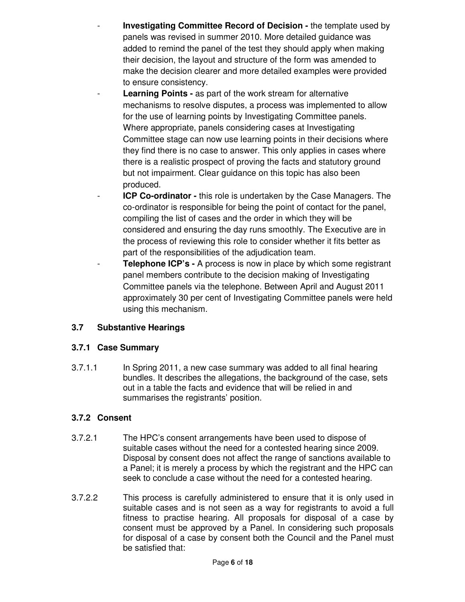- **Investigating Committee Record of Decision** the template used by panels was revised in summer 2010. More detailed guidance was added to remind the panel of the test they should apply when making their decision, the layout and structure of the form was amended to make the decision clearer and more detailed examples were provided to ensure consistency.
- **Learning Points as part of the work stream for alternative** mechanisms to resolve disputes, a process was implemented to allow for the use of learning points by Investigating Committee panels. Where appropriate, panels considering cases at Investigating Committee stage can now use learning points in their decisions where they find there is no case to answer. This only applies in cases where there is a realistic prospect of proving the facts and statutory ground but not impairment. Clear guidance on this topic has also been produced.
- **ICP Co-ordinator -** this role is undertaken by the Case Managers. The co-ordinator is responsible for being the point of contact for the panel, compiling the list of cases and the order in which they will be considered and ensuring the day runs smoothly. The Executive are in the process of reviewing this role to consider whether it fits better as part of the responsibilities of the adjudication team.
- **Telephone ICP's -** A process is now in place by which some registrant panel members contribute to the decision making of Investigating Committee panels via the telephone. Between April and August 2011 approximately 30 per cent of Investigating Committee panels were held using this mechanism.

### **3.7 Substantive Hearings**

### **3.7.1 Case Summary**

3.7.1.1 In Spring 2011, a new case summary was added to all final hearing bundles. It describes the allegations, the background of the case, sets out in a table the facts and evidence that will be relied in and summarises the registrants' position.

### **3.7.2 Consent**

- 3.7.2.1 The HPC's consent arrangements have been used to dispose of suitable cases without the need for a contested hearing since 2009. Disposal by consent does not affect the range of sanctions available to a Panel; it is merely a process by which the registrant and the HPC can seek to conclude a case without the need for a contested hearing.
- 3.7.2.2 This process is carefully administered to ensure that it is only used in suitable cases and is not seen as a way for registrants to avoid a full fitness to practise hearing. All proposals for disposal of a case by consent must be approved by a Panel. In considering such proposals for disposal of a case by consent both the Council and the Panel must be satisfied that: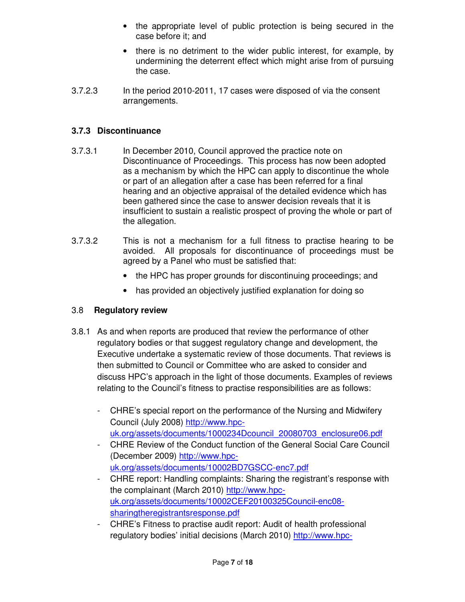- the appropriate level of public protection is being secured in the case before it; and
- there is no detriment to the wider public interest, for example, by undermining the deterrent effect which might arise from of pursuing the case.
- 3.7.2.3 In the period 2010-2011, 17 cases were disposed of via the consent arrangements.

### **3.7.3 Discontinuance**

- 3.7.3.1 In December 2010, Council approved the practice note on Discontinuance of Proceedings. This process has now been adopted as a mechanism by which the HPC can apply to discontinue the whole or part of an allegation after a case has been referred for a final hearing and an objective appraisal of the detailed evidence which has been gathered since the case to answer decision reveals that it is insufficient to sustain a realistic prospect of proving the whole or part of the allegation.
- 3.7.3.2 This is not a mechanism for a full fitness to practise hearing to be avoided. All proposals for discontinuance of proceedings must be agreed by a Panel who must be satisfied that:
	- the HPC has proper grounds for discontinuing proceedings; and
	- has provided an objectively justified explanation for doing so

### 3.8 **Regulatory review**

- 3.8.1 As and when reports are produced that review the performance of other regulatory bodies or that suggest regulatory change and development, the Executive undertake a systematic review of those documents. That reviews is then submitted to Council or Committee who are asked to consider and discuss HPC's approach in the light of those documents. Examples of reviews relating to the Council's fitness to practise responsibilities are as follows:
	- CHRE's special report on the performance of the Nursing and Midwifery Council (July 2008) http://www.hpcuk.org/assets/documents/1000234Dcouncil\_20080703\_enclosure06.pdf
	- CHRE Review of the Conduct function of the General Social Care Council (December 2009) http://www.hpcuk.org/assets/documents/10002BD7GSCC-enc7.pdf
	- CHRE report: Handling complaints: Sharing the registrant's response with the complainant (March 2010) http://www.hpcuk.org/assets/documents/10002CEF20100325Council-enc08 sharingtheregistrantsresponse.pdf
	- CHRE's Fitness to practise audit report: Audit of health professional regulatory bodies' initial decisions (March 2010) http://www.hpc-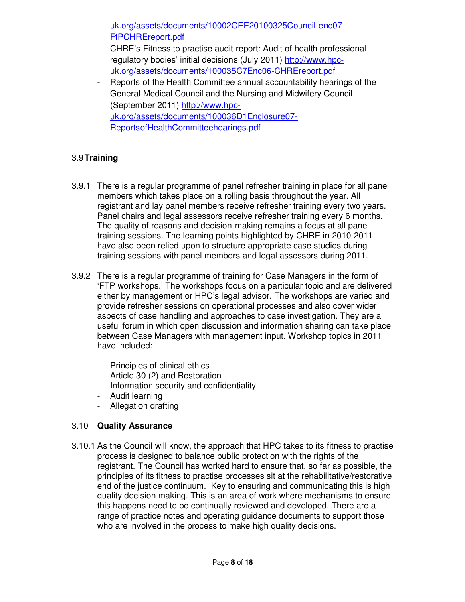uk.org/assets/documents/10002CEE20100325Council-enc07- FtPCHREreport.pdf

- CHRE's Fitness to practise audit report: Audit of health professional regulatory bodies' initial decisions (July 2011) http://www.hpcuk.org/assets/documents/100035C7Enc06-CHREreport.pdf
- Reports of the Health Committee annual accountability hearings of the General Medical Council and the Nursing and Midwifery Council (September 2011) http://www.hpcuk.org/assets/documents/100036D1Enclosure07- ReportsofHealthCommitteehearings.pdf

### 3.9 **Training**

- 3.9.1 There is a regular programme of panel refresher training in place for all panel members which takes place on a rolling basis throughout the year. All registrant and lay panel members receive refresher training every two years. Panel chairs and legal assessors receive refresher training every 6 months. The quality of reasons and decision-making remains a focus at all panel training sessions. The learning points highlighted by CHRE in 2010-2011 have also been relied upon to structure appropriate case studies during training sessions with panel members and legal assessors during 2011.
- 3.9.2 There is a regular programme of training for Case Managers in the form of 'FTP workshops.' The workshops focus on a particular topic and are delivered either by management or HPC's legal advisor. The workshops are varied and provide refresher sessions on operational processes and also cover wider aspects of case handling and approaches to case investigation. They are a useful forum in which open discussion and information sharing can take place between Case Managers with management input. Workshop topics in 2011 have included:
	- Principles of clinical ethics
	- Article 30 (2) and Restoration
	- Information security and confidentiality
	- Audit learning
	- Allegation drafting

### 3.10 **Quality Assurance**

3.10.1 As the Council will know, the approach that HPC takes to its fitness to practise process is designed to balance public protection with the rights of the registrant. The Council has worked hard to ensure that, so far as possible, the principles of its fitness to practise processes sit at the rehabilitative/restorative end of the justice continuum. Key to ensuring and communicating this is high quality decision making. This is an area of work where mechanisms to ensure this happens need to be continually reviewed and developed. There are a range of practice notes and operating guidance documents to support those who are involved in the process to make high quality decisions.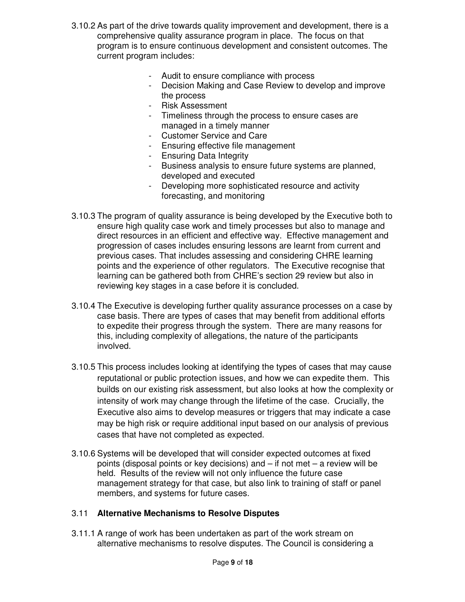- 3.10.2 As part of the drive towards quality improvement and development, there is a comprehensive quality assurance program in place. The focus on that program is to ensure continuous development and consistent outcomes. The current program includes:
	- Audit to ensure compliance with process
	- Decision Making and Case Review to develop and improve the process
	- Risk Assessment
	- Timeliness through the process to ensure cases are managed in a timely manner
	- Customer Service and Care
	- Ensuring effective file management
	- Ensuring Data Integrity
	- Business analysis to ensure future systems are planned, developed and executed
	- Developing more sophisticated resource and activity forecasting, and monitoring
- 3.10.3 The program of quality assurance is being developed by the Executive both to ensure high quality case work and timely processes but also to manage and direct resources in an efficient and effective way. Effective management and progression of cases includes ensuring lessons are learnt from current and previous cases. That includes assessing and considering CHRE learning points and the experience of other regulators. The Executive recognise that learning can be gathered both from CHRE's section 29 review but also in reviewing key stages in a case before it is concluded.
- 3.10.4 The Executive is developing further quality assurance processes on a case by case basis. There are types of cases that may benefit from additional efforts to expedite their progress through the system. There are many reasons for this, including complexity of allegations, the nature of the participants involved.
- 3.10.5 This process includes looking at identifying the types of cases that may cause reputational or public protection issues, and how we can expedite them. This builds on our existing risk assessment, but also looks at how the complexity or intensity of work may change through the lifetime of the case. Crucially, the Executive also aims to develop measures or triggers that may indicate a case may be high risk or require additional input based on our analysis of previous cases that have not completed as expected.
- 3.10.6 Systems will be developed that will consider expected outcomes at fixed points (disposal points or key decisions) and – if not met – a review will be held. Results of the review will not only influence the future case management strategy for that case, but also link to training of staff or panel members, and systems for future cases.

#### 3.11 **Alternative Mechanisms to Resolve Disputes**

3.11.1 A range of work has been undertaken as part of the work stream on alternative mechanisms to resolve disputes. The Council is considering a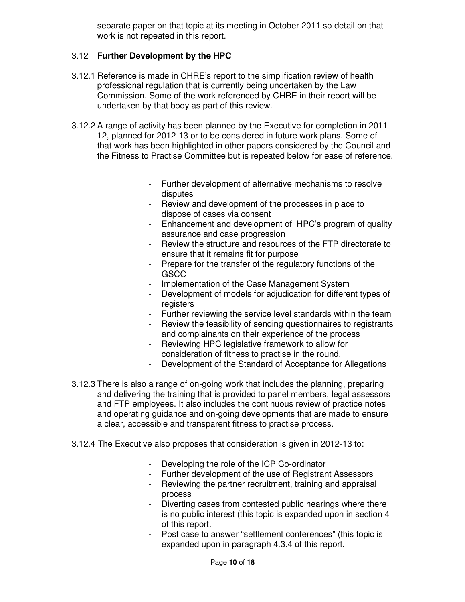separate paper on that topic at its meeting in October 2011 so detail on that work is not repeated in this report.

### 3.12 **Further Development by the HPC**

- 3.12.1 Reference is made in CHRE's report to the simplification review of health professional regulation that is currently being undertaken by the Law Commission. Some of the work referenced by CHRE in their report will be undertaken by that body as part of this review.
- 3.12.2 A range of activity has been planned by the Executive for completion in 2011- 12, planned for 2012-13 or to be considered in future work plans. Some of that work has been highlighted in other papers considered by the Council and the Fitness to Practise Committee but is repeated below for ease of reference.
	- Further development of alternative mechanisms to resolve disputes
	- Review and development of the processes in place to dispose of cases via consent
	- Enhancement and development of HPC's program of quality assurance and case progression
	- Review the structure and resources of the FTP directorate to ensure that it remains fit for purpose
	- Prepare for the transfer of the regulatory functions of the GSCC
	- Implementation of the Case Management System
	- Development of models for adjudication for different types of registers
	- Further reviewing the service level standards within the team
	- Review the feasibility of sending questionnaires to registrants and complainants on their experience of the process
	- Reviewing HPC legislative framework to allow for consideration of fitness to practise in the round.
	- Development of the Standard of Acceptance for Allegations
- 3.12.3 There is also a range of on-going work that includes the planning, preparing and delivering the training that is provided to panel members, legal assessors and FTP employees. It also includes the continuous review of practice notes and operating guidance and on-going developments that are made to ensure a clear, accessible and transparent fitness to practise process.
- 3.12.4 The Executive also proposes that consideration is given in 2012-13 to:
	- Developing the role of the ICP Co-ordinator
	- Further development of the use of Registrant Assessors
	- Reviewing the partner recruitment, training and appraisal process
	- Diverting cases from contested public hearings where there is no public interest (this topic is expanded upon in section 4 of this report.
	- Post case to answer "settlement conferences" (this topic is expanded upon in paragraph 4.3.4 of this report.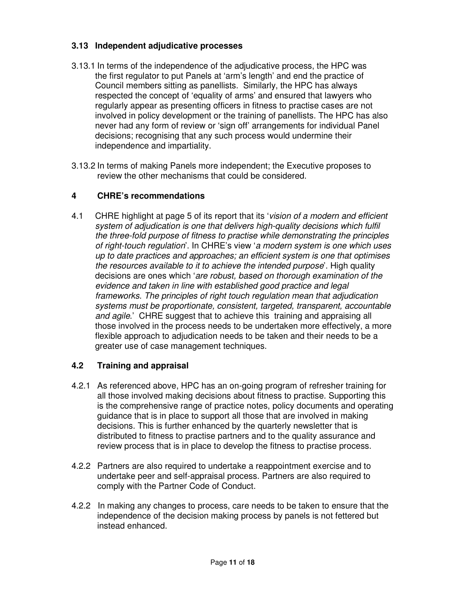### **3.13 Independent adjudicative processes**

- 3.13.1 In terms of the independence of the adjudicative process, the HPC was the first regulator to put Panels at 'arm's length' and end the practice of Council members sitting as panellists. Similarly, the HPC has always respected the concept of 'equality of arms' and ensured that lawyers who regularly appear as presenting officers in fitness to practise cases are not involved in policy development or the training of panellists. The HPC has also never had any form of review or 'sign off' arrangements for individual Panel decisions; recognising that any such process would undermine their independence and impartiality.
- 3.13.2 In terms of making Panels more independent; the Executive proposes to review the other mechanisms that could be considered.

### **4 CHRE's recommendations**

4.1 CHRE highlight at page 5 of its report that its 'vision of a modern and efficient system of adjudication is one that delivers high-quality decisions which fulfil the three-fold purpose of fitness to practise while demonstrating the principles of right-touch regulation'. In CHRE's view 'a modern system is one which uses up to date practices and approaches; an efficient system is one that optimises the resources available to it to achieve the intended purpose'. High quality decisions are ones which 'are robust, based on thorough examination of the evidence and taken in line with established good practice and legal frameworks. The principles of right touch regulation mean that adjudication systems must be proportionate, consistent, targeted, transparent, accountable and agile.' CHRE suggest that to achieve this training and appraising all those involved in the process needs to be undertaken more effectively, a more flexible approach to adjudication needs to be taken and their needs to be a greater use of case management techniques.

### **4.2 Training and appraisal**

- 4.2.1 As referenced above, HPC has an on-going program of refresher training for all those involved making decisions about fitness to practise. Supporting this is the comprehensive range of practice notes, policy documents and operating guidance that is in place to support all those that are involved in making decisions. This is further enhanced by the quarterly newsletter that is distributed to fitness to practise partners and to the quality assurance and review process that is in place to develop the fitness to practise process.
- 4.2.2 Partners are also required to undertake a reappointment exercise and to undertake peer and self-appraisal process. Partners are also required to comply with the Partner Code of Conduct.
- 4.2.2 In making any changes to process, care needs to be taken to ensure that the independence of the decision making process by panels is not fettered but instead enhanced.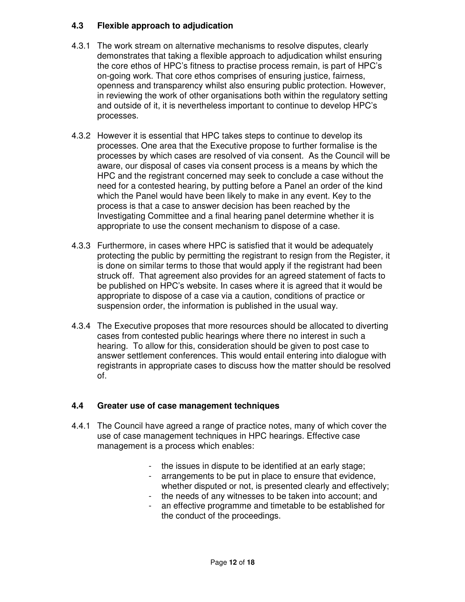### **4.3 Flexible approach to adjudication**

- 4.3.1 The work stream on alternative mechanisms to resolve disputes, clearly demonstrates that taking a flexible approach to adjudication whilst ensuring the core ethos of HPC's fitness to practise process remain, is part of HPC's on-going work. That core ethos comprises of ensuring justice, fairness, openness and transparency whilst also ensuring public protection. However, in reviewing the work of other organisations both within the regulatory setting and outside of it, it is nevertheless important to continue to develop HPC's processes.
- 4.3.2 However it is essential that HPC takes steps to continue to develop its processes. One area that the Executive propose to further formalise is the processes by which cases are resolved of via consent. As the Council will be aware, our disposal of cases via consent process is a means by which the HPC and the registrant concerned may seek to conclude a case without the need for a contested hearing, by putting before a Panel an order of the kind which the Panel would have been likely to make in any event. Key to the process is that a case to answer decision has been reached by the Investigating Committee and a final hearing panel determine whether it is appropriate to use the consent mechanism to dispose of a case.
- 4.3.3 Furthermore, in cases where HPC is satisfied that it would be adequately protecting the public by permitting the registrant to resign from the Register, it is done on similar terms to those that would apply if the registrant had been struck off. That agreement also provides for an agreed statement of facts to be published on HPC's website. In cases where it is agreed that it would be appropriate to dispose of a case via a caution, conditions of practice or suspension order, the information is published in the usual way.
- 4.3.4 The Executive proposes that more resources should be allocated to diverting cases from contested public hearings where there no interest in such a hearing. To allow for this, consideration should be given to post case to answer settlement conferences. This would entail entering into dialogue with registrants in appropriate cases to discuss how the matter should be resolved of.

### **4.4 Greater use of case management techniques**

- 4.4.1 The Council have agreed a range of practice notes, many of which cover the use of case management techniques in HPC hearings. Effective case management is a process which enables:
	- the issues in dispute to be identified at an early stage;
	- arrangements to be put in place to ensure that evidence, whether disputed or not, is presented clearly and effectively;
	- the needs of any witnesses to be taken into account; and
	- an effective programme and timetable to be established for the conduct of the proceedings.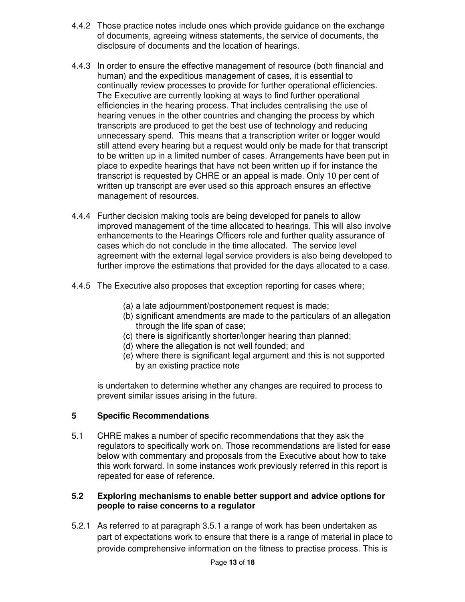- 4.4.2 Those practice notes include ones which provide guidance on the exchange of documents, agreeing witness statements, the service of documents, the disclosure of documents and the location of hearings.
- 4.4.3 In order to ensure the effective management of resource (both financial and human) and the expeditious management of cases, it is essential to continually review processes to provide for further operational efficiencies. The Executive are currently looking at ways to find further operational efficiencies in the hearing process. That includes centralising the use of hearing venues in the other countries and changing the process by which transcripts are produced to get the best use of technology and reducing unnecessary spend. This means that a transcription writer or logger would still attend every hearing but a request would only be made for that transcript to be written up in a limited number of cases. Arrangements have been put in place to expedite hearings that have not been written up if for instance the transcript is requested by CHRE or an appeal is made. Only 10 per cent of written up transcript are ever used so this approach ensures an effective management of resources.
- 4.4.4 Further decision making tools are being developed for panels to allow improved management of the time allocated to hearings. This will also involve enhancements to the Hearings Officers role and further quality assurance of cases which do not conclude in the time allocated. The service level agreement with the external legal service providers is also being developed to further improve the estimations that provided for the days allocated to a case.
- 4.4.5 The Executive also proposes that exception reporting for cases where;
	- (a) a late adjournment/postponement request is made;
	- (b) significant amendments are made to the particulars of an allegation through the life span of case;
	- (c) there is significantly shorter/longer hearing than planned;
	- (d) where the allegation is not well founded; and
	- (e) where there is significant legal argument and this is not supported by an existing practice note

is undertaken to determine whether any changes are required to process to prevent similar issues arising in the future.

### **5 Specific Recommendations**

5.1 CHRE makes a number of specific recommendations that they ask the regulators to specifically work on. Those recommendations are listed for ease below with commentary and proposals from the Executive about how to take this work forward. In some instances work previously referred in this report is repeated for ease of reference.

### **5.2 Exploring mechanisms to enable better support and advice options for people to raise concerns to a regulator**

5.2.1 As referred to at paragraph 3.5.1 a range of work has been undertaken as part of expectations work to ensure that there is a range of material in place to provide comprehensive information on the fitness to practise process. This is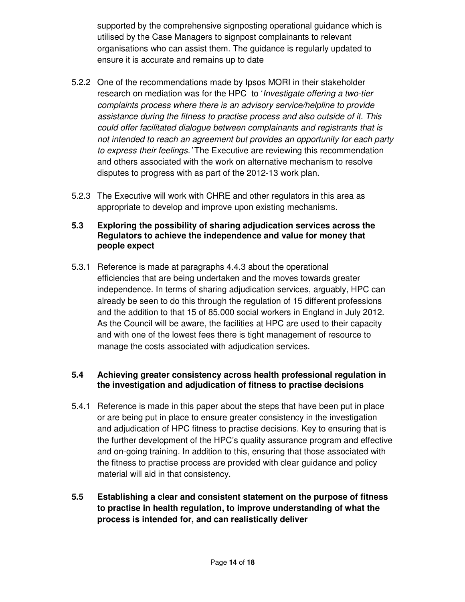supported by the comprehensive signposting operational guidance which is utilised by the Case Managers to signpost complainants to relevant organisations who can assist them. The guidance is regularly updated to ensure it is accurate and remains up to date

- 5.2.2 One of the recommendations made by Ipsos MORI in their stakeholder research on mediation was for the HPC to '*Investigate offering a two-tier* complaints process where there is an advisory service/helpline to provide assistance during the fitness to practise process and also outside of it. This could offer facilitated dialogue between complainants and registrants that is not intended to reach an agreement but provides an opportunity for each party to express their feelings.' The Executive are reviewing this recommendation and others associated with the work on alternative mechanism to resolve disputes to progress with as part of the 2012-13 work plan.
- 5.2.3 The Executive will work with CHRE and other regulators in this area as appropriate to develop and improve upon existing mechanisms.

### **5.3 Exploring the possibility of sharing adjudication services across the Regulators to achieve the independence and value for money that people expect**

5.3.1 Reference is made at paragraphs 4.4.3 about the operational efficiencies that are being undertaken and the moves towards greater independence. In terms of sharing adjudication services, arguably, HPC can already be seen to do this through the regulation of 15 different professions and the addition to that 15 of 85,000 social workers in England in July 2012. As the Council will be aware, the facilities at HPC are used to their capacity and with one of the lowest fees there is tight management of resource to manage the costs associated with adjudication services.

### **5.4 Achieving greater consistency across health professional regulation in the investigation and adjudication of fitness to practise decisions**

- 5.4.1 Reference is made in this paper about the steps that have been put in place or are being put in place to ensure greater consistency in the investigation and adjudication of HPC fitness to practise decisions. Key to ensuring that is the further development of the HPC's quality assurance program and effective and on-going training. In addition to this, ensuring that those associated with the fitness to practise process are provided with clear guidance and policy material will aid in that consistency.
- **5.5 Establishing a clear and consistent statement on the purpose of fitness to practise in health regulation, to improve understanding of what the process is intended for, and can realistically deliver**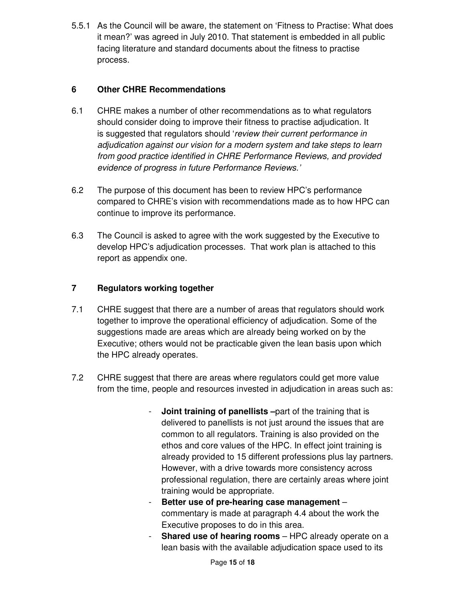5.5.1 As the Council will be aware, the statement on 'Fitness to Practise: What does it mean?' was agreed in July 2010. That statement is embedded in all public facing literature and standard documents about the fitness to practise process.

### **6 Other CHRE Recommendations**

- 6.1 CHRE makes a number of other recommendations as to what regulators should consider doing to improve their fitness to practise adjudication. It is suggested that regulators should 'review their current performance in adjudication against our vision for a modern system and take steps to learn from good practice identified in CHRE Performance Reviews, and provided evidence of progress in future Performance Reviews.'
- 6.2 The purpose of this document has been to review HPC's performance compared to CHRE's vision with recommendations made as to how HPC can continue to improve its performance.
- 6.3 The Council is asked to agree with the work suggested by the Executive to develop HPC's adjudication processes. That work plan is attached to this report as appendix one.

### **7 Regulators working together**

- 7.1 CHRE suggest that there are a number of areas that regulators should work together to improve the operational efficiency of adjudication. Some of the suggestions made are areas which are already being worked on by the Executive; others would not be practicable given the lean basis upon which the HPC already operates.
- 7.2 CHRE suggest that there are areas where regulators could get more value from the time, people and resources invested in adjudication in areas such as:
	- **Joint training of panellists** –part of the training that is delivered to panellists is not just around the issues that are common to all regulators. Training is also provided on the ethos and core values of the HPC. In effect joint training is already provided to 15 different professions plus lay partners. However, with a drive towards more consistency across professional regulation, there are certainly areas where joint training would be appropriate.
	- **Better use of pre-hearing case management**  commentary is made at paragraph 4.4 about the work the Executive proposes to do in this area.
	- **Shared use of hearing rooms** HPC already operate on a lean basis with the available adjudication space used to its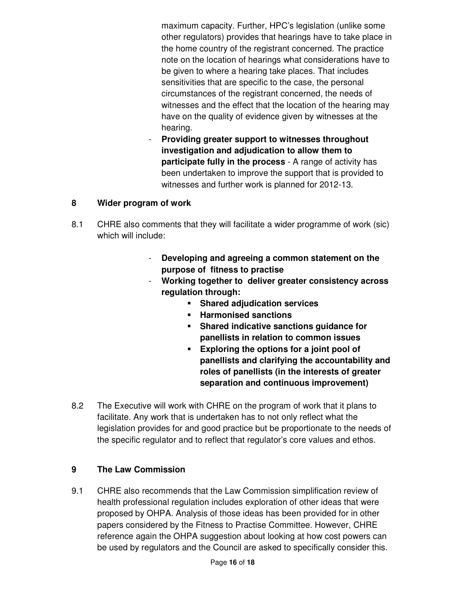maximum capacity. Further, HPC's legislation (unlike some other regulators) provides that hearings have to take place in the home country of the registrant concerned. The practice note on the location of hearings what considerations have to be given to where a hearing take places. That includes sensitivities that are specific to the case, the personal circumstances of the registrant concerned, the needs of witnesses and the effect that the location of the hearing may have on the quality of evidence given by witnesses at the hearing.

- **Providing greater support to witnesses throughout investigation and adjudication to allow them to participate fully in the process** - A range of activity has been undertaken to improve the support that is provided to witnesses and further work is planned for 2012-13.

### **8 Wider program of work**

- 8.1 CHRE also comments that they will facilitate a wider programme of work (sic) which will include:
	- **Developing and agreeing a common statement on the purpose of fitness to practise**
	- **Working together to deliver greater consistency across regulation through:** 
		- **Shared adjudication services**
		- **Harmonised sanctions**
		- **Shared indicative sanctions guidance for panellists in relation to common issues**
		- **Exploring the options for a joint pool of panellists and clarifying the accountability and roles of panellists (in the interests of greater separation and continuous improvement)**
- 8.2 The Executive will work with CHRE on the program of work that it plans to facilitate. Any work that is undertaken has to not only reflect what the legislation provides for and good practice but be proportionate to the needs of the specific regulator and to reflect that regulator's core values and ethos.

### **9 The Law Commission**

9.1 CHRE also recommends that the Law Commission simplification review of health professional regulation includes exploration of other ideas that were proposed by OHPA. Analysis of those ideas has been provided for in other papers considered by the Fitness to Practise Committee. However, CHRE reference again the OHPA suggestion about looking at how cost powers can be used by regulators and the Council are asked to specifically consider this.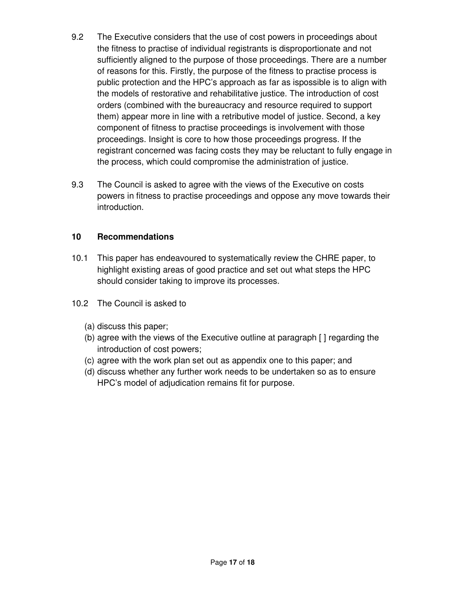- 9.2 The Executive considers that the use of cost powers in proceedings about the fitness to practise of individual registrants is disproportionate and not sufficiently aligned to the purpose of those proceedings. There are a number of reasons for this. Firstly, the purpose of the fitness to practise process is public protection and the HPC's approach as far as ispossible is to align with the models of restorative and rehabilitative justice. The introduction of cost orders (combined with the bureaucracy and resource required to support them) appear more in line with a retributive model of justice. Second, a key component of fitness to practise proceedings is involvement with those proceedings. Insight is core to how those proceedings progress. If the registrant concerned was facing costs they may be reluctant to fully engage in the process, which could compromise the administration of justice.
- 9.3 The Council is asked to agree with the views of the Executive on costs powers in fitness to practise proceedings and oppose any move towards their introduction.

### **10 Recommendations**

- 10.1 This paper has endeavoured to systematically review the CHRE paper, to highlight existing areas of good practice and set out what steps the HPC should consider taking to improve its processes.
- 10.2 The Council is asked to
	- (a) discuss this paper;
	- (b) agree with the views of the Executive outline at paragraph [ ] regarding the introduction of cost powers;
	- (c) agree with the work plan set out as appendix one to this paper; and
	- (d) discuss whether any further work needs to be undertaken so as to ensure HPC's model of adjudication remains fit for purpose.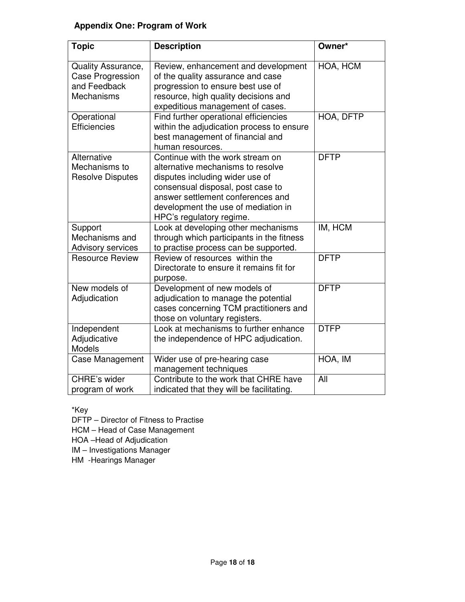### **Appendix One: Program of Work**

| <b>Topic</b>                                                                | <b>Description</b>                                                                                                                                                                                                                                    | Owner*      |
|-----------------------------------------------------------------------------|-------------------------------------------------------------------------------------------------------------------------------------------------------------------------------------------------------------------------------------------------------|-------------|
| Quality Assurance,<br><b>Case Progression</b><br>and Feedback<br>Mechanisms | Review, enhancement and development<br>of the quality assurance and case<br>progression to ensure best use of<br>resource, high quality decisions and<br>expeditious management of cases.                                                             | HOA, HCM    |
| Operational<br><b>Efficiencies</b>                                          | Find further operational efficiencies<br>within the adjudication process to ensure<br>best management of financial and<br>human resources.                                                                                                            | HOA, DFTP   |
| Alternative<br>Mechanisms to<br><b>Resolve Disputes</b>                     | Continue with the work stream on<br>alternative mechanisms to resolve<br>disputes including wider use of<br>consensual disposal, post case to<br>answer settlement conferences and<br>development the use of mediation in<br>HPC's regulatory regime. | <b>DFTP</b> |
| Support<br>Mechanisms and<br>Advisory services                              | Look at developing other mechanisms<br>through which participants in the fitness<br>to practise process can be supported.                                                                                                                             | IM, HCM     |
| <b>Resource Review</b>                                                      | Review of resources within the<br>Directorate to ensure it remains fit for<br>purpose.                                                                                                                                                                | <b>DFTP</b> |
| New models of<br>Adjudication                                               | Development of new models of<br>adjudication to manage the potential<br>cases concerning TCM practitioners and<br>those on voluntary registers.                                                                                                       | <b>DFTP</b> |
| Independent<br>Adjudicative<br>Models                                       | Look at mechanisms to further enhance<br>the independence of HPC adjudication.                                                                                                                                                                        | <b>DTFP</b> |
| Case Management                                                             | Wider use of pre-hearing case<br>management techniques                                                                                                                                                                                                | HOA, IM     |
| <b>CHRE's wider</b><br>program of work                                      | Contribute to the work that CHRE have<br>indicated that they will be facilitating.                                                                                                                                                                    | All         |

\*Key

DFTP – Director of Fitness to Practise

HCM – Head of Case Management

HOA –Head of Adjudication

IM – Investigations Manager

HM -Hearings Manager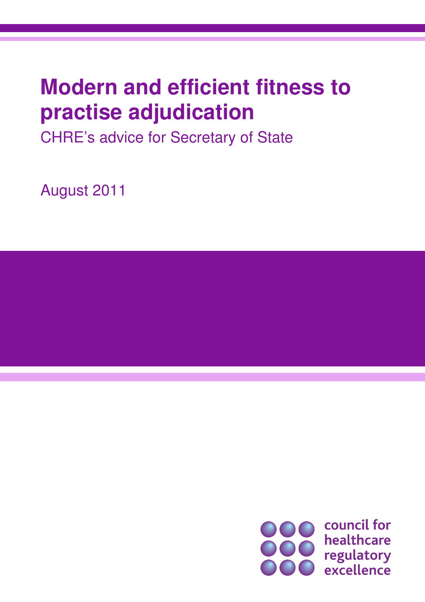## **Modern and efficient fitness to practise adjudication**

CHRE's advice for Secretary of State

August 2011

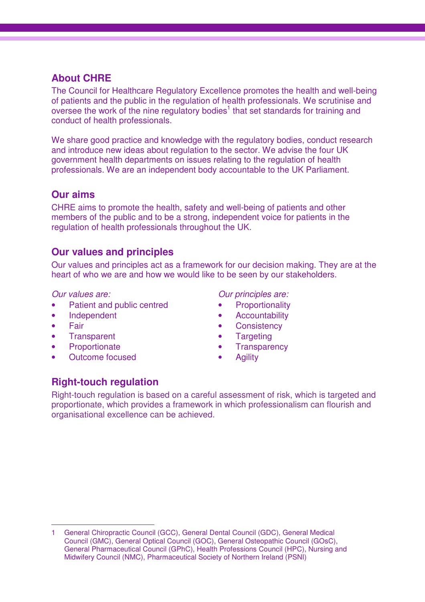### **About CHRE**

The Council for Healthcare Regulatory Excellence promotes the health and well-being of patients and the public in the regulation of health professionals. We scrutinise and oversee the work of the nine regulatory bodies<sup>1</sup> that set standards for training and conduct of health professionals.

We share good practice and knowledge with the regulatory bodies, conduct research and introduce new ideas about regulation to the sector. We advise the four UK government health departments on issues relating to the regulation of health professionals. We are an independent body accountable to the UK Parliament.

### **Our aims**

CHRE aims to promote the health, safety and well-being of patients and other members of the public and to be a strong, independent voice for patients in the regulation of health professionals throughout the UK.

### **Our values and principles**

Our values and principles act as a framework for our decision making. They are at the heart of who we are and how we would like to be seen by our stakeholders.

Our values are:

- Patient and public centred
- Independent
- Fair
- Transparent
- Proportionate
- Outcome focused

Our principles are:

- **Proportionality**
- **Accountability**
- **Consistency**
- **Targeting**
- **Transparency**
- **Agility**

### **Right-touch regulation**

Right-touch regulation is based on a careful assessment of risk, which is targeted and proportionate, which provides a framework in which professionalism can flourish and organisational excellence can be achieved.

 $\overline{a}$ 1 General Chiropractic Council (GCC), General Dental Council (GDC), General Medical Council (GMC), General Optical Council (GOC), General Osteopathic Council (GOsC), General Pharmaceutical Council (GPhC), Health Professions Council (HPC), Nursing and Midwifery Council (NMC), Pharmaceutical Society of Northern Ireland (PSNI)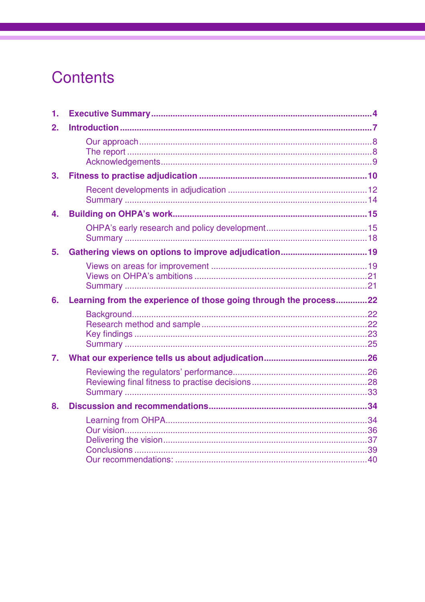### Contents

| 1.               |                                                                   |  |
|------------------|-------------------------------------------------------------------|--|
| 2.               |                                                                   |  |
|                  |                                                                   |  |
| 3.               |                                                                   |  |
|                  |                                                                   |  |
| 4.               |                                                                   |  |
|                  |                                                                   |  |
| 5.               |                                                                   |  |
|                  |                                                                   |  |
| 6.               | Learning from the experience of those going through the process22 |  |
|                  |                                                                   |  |
| $\overline{7}$ . |                                                                   |  |
|                  |                                                                   |  |
| 8.               |                                                                   |  |
|                  |                                                                   |  |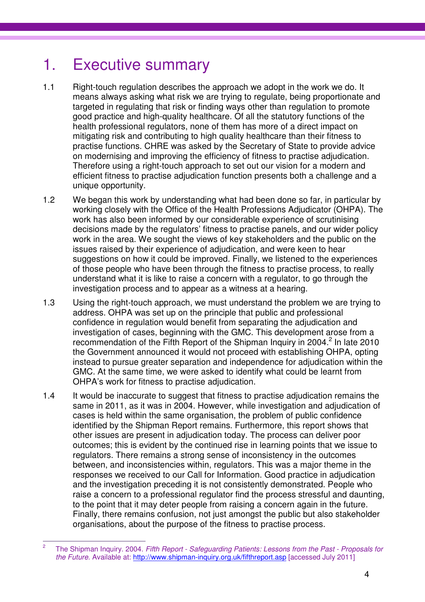### 1. Executive summary

- 1.1 Right-touch regulation describes the approach we adopt in the work we do. It means always asking what risk we are trying to regulate, being proportionate and targeted in regulating that risk or finding ways other than regulation to promote good practice and high-quality healthcare. Of all the statutory functions of the health professional regulators, none of them has more of a direct impact on mitigating risk and contributing to high quality healthcare than their fitness to practise functions. CHRE was asked by the Secretary of State to provide advice on modernising and improving the efficiency of fitness to practise adjudication. Therefore using a right-touch approach to set out our vision for a modern and efficient fitness to practise adjudication function presents both a challenge and a unique opportunity.
- 1.2 We began this work by understanding what had been done so far, in particular by working closely with the Office of the Health Professions Adjudicator (OHPA). The work has also been informed by our considerable experience of scrutinising decisions made by the regulators' fitness to practise panels, and our wider policy work in the area. We sought the views of key stakeholders and the public on the issues raised by their experience of adjudication, and were keen to hear suggestions on how it could be improved. Finally, we listened to the experiences of those people who have been through the fitness to practise process, to really understand what it is like to raise a concern with a regulator, to go through the investigation process and to appear as a witness at a hearing.
- 1.3 Using the right-touch approach, we must understand the problem we are trying to address. OHPA was set up on the principle that public and professional confidence in regulation would benefit from separating the adjudication and investigation of cases, beginning with the GMC. This development arose from a recommendation of the Fifth Report of the Shipman Inquiry in 2004. $^2$  In late 2010 the Government announced it would not proceed with establishing OHPA, opting instead to pursue greater separation and independence for adjudication within the GMC. At the same time, we were asked to identify what could be learnt from OHPA's work for fitness to practise adjudication.
- 1.4 It would be inaccurate to suggest that fitness to practise adjudication remains the same in 2011, as it was in 2004. However, while investigation and adjudication of cases is held within the same organisation, the problem of public confidence identified by the Shipman Report remains. Furthermore, this report shows that other issues are present in adjudication today. The process can deliver poor outcomes; this is evident by the continued rise in learning points that we issue to regulators. There remains a strong sense of inconsistency in the outcomes between, and inconsistencies within, regulators. This was a major theme in the responses we received to our Call for Information. Good practice in adjudication and the investigation preceding it is not consistently demonstrated. People who raise a concern to a professional regulator find the process stressful and daunting, to the point that it may deter people from raising a concern again in the future. Finally, there remains confusion, not just amongst the public but also stakeholder organisations, about the purpose of the fitness to practise process.

 $\frac{1}{2}$  The Shipman Inquiry. 2004. Fifth Report - Safeguarding Patients: Lessons from the Past - Proposals for the Future. Available at: http://www.shipman-inquiry.org.uk/fifthreport.asp [accessed July 2011]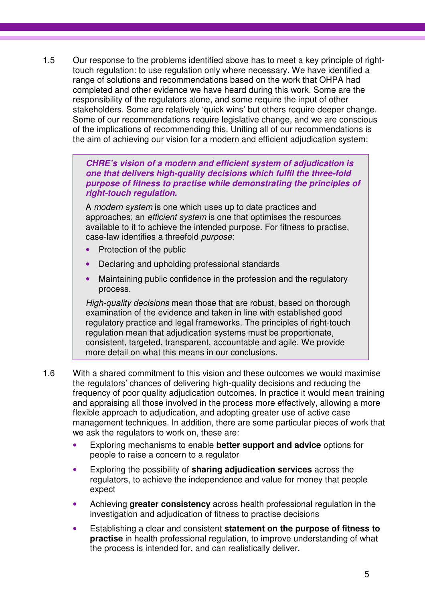1.5 Our response to the problems identified above has to meet a key principle of righttouch regulation: to use regulation only where necessary. We have identified a range of solutions and recommendations based on the work that OHPA had completed and other evidence we have heard during this work. Some are the responsibility of the regulators alone, and some require the input of other stakeholders. Some are relatively 'quick wins' but others require deeper change. Some of our recommendations require legislative change, and we are conscious of the implications of recommending this. Uniting all of our recommendations is the aim of achieving our vision for a modern and efficient adjudication system:

> **CHRE's vision of a modern and efficient system of adjudication is one that delivers high-quality decisions which fulfil the three-fold purpose of fitness to practise while demonstrating the principles of right-touch regulation.**

A modern system is one which uses up to date practices and approaches; an efficient system is one that optimises the resources available to it to achieve the intended purpose. For fitness to practise, case-law identifies a threefold purpose:

- Protection of the public
- Declaring and upholding professional standards
- Maintaining public confidence in the profession and the regulatory process.

High-quality decisions mean those that are robust, based on thorough examination of the evidence and taken in line with established good regulatory practice and legal frameworks. The principles of right-touch regulation mean that adjudication systems must be proportionate, consistent, targeted, transparent, accountable and agile. We provide more detail on what this means in our conclusions.

- 1.6 With a shared commitment to this vision and these outcomes we would maximise the regulators' chances of delivering high-quality decisions and reducing the frequency of poor quality adjudication outcomes. In practice it would mean training and appraising all those involved in the process more effectively, allowing a more flexible approach to adjudication, and adopting greater use of active case management techniques. In addition, there are some particular pieces of work that we ask the regulators to work on, these are:
	- Exploring mechanisms to enable **better support and advice** options for people to raise a concern to a regulator
	- Exploring the possibility of **sharing adjudication services** across the regulators, to achieve the independence and value for money that people expect
	- Achieving **greater consistency** across health professional regulation in the investigation and adjudication of fitness to practise decisions
	- Establishing a clear and consistent **statement on the purpose of fitness to practise** in health professional regulation, to improve understanding of what the process is intended for, and can realistically deliver.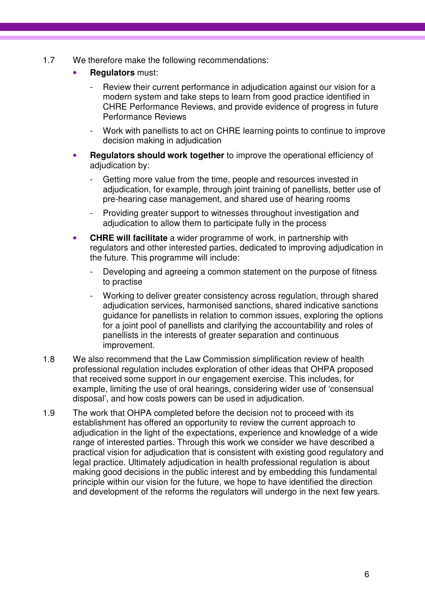- 1.7 We therefore make the following recommendations:
	- **Regulators** must:
		- Review their current performance in adjudication against our vision for a modern system and take steps to learn from good practice identified in CHRE Performance Reviews, and provide evidence of progress in future Performance Reviews
		- Work with panellists to act on CHRE learning points to continue to improve decision making in adjudication
	- **Regulators should work together** to improve the operational efficiency of adjudication by:
		- Getting more value from the time, people and resources invested in adjudication, for example, through joint training of panellists, better use of pre-hearing case management, and shared use of hearing rooms
		- Providing greater support to witnesses throughout investigation and adjudication to allow them to participate fully in the process
	- **CHRE will facilitate** a wider programme of work, in partnership with regulators and other interested parties, dedicated to improving adjudication in the future. This programme will include:
		- Developing and agreeing a common statement on the purpose of fitness to practise
		- Working to deliver greater consistency across regulation, through shared adjudication services, harmonised sanctions, shared indicative sanctions guidance for panellists in relation to common issues, exploring the options for a joint pool of panellists and clarifying the accountability and roles of panellists in the interests of greater separation and continuous improvement.
- 1.8 We also recommend that the Law Commission simplification review of health professional regulation includes exploration of other ideas that OHPA proposed that received some support in our engagement exercise. This includes, for example, limiting the use of oral hearings, considering wider use of 'consensual disposal', and how costs powers can be used in adjudication.
- 1.9 The work that OHPA completed before the decision not to proceed with its establishment has offered an opportunity to review the current approach to adjudication in the light of the expectations, experience and knowledge of a wide range of interested parties. Through this work we consider we have described a practical vision for adjudication that is consistent with existing good regulatory and legal practice. Ultimately adjudication in health professional regulation is about making good decisions in the public interest and by embedding this fundamental principle within our vision for the future, we hope to have identified the direction and development of the reforms the regulators will undergo in the next few years.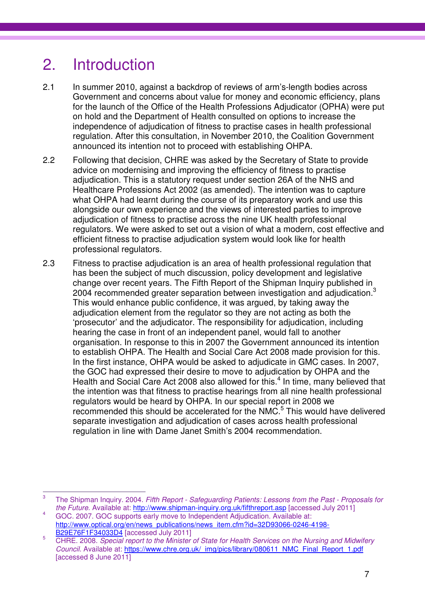### 2. Introduction

- 2.1 In summer 2010, against a backdrop of reviews of arm's-length bodies across Government and concerns about value for money and economic efficiency, plans for the launch of the Office of the Health Professions Adjudicator (OPHA) were put on hold and the Department of Health consulted on options to increase the independence of adjudication of fitness to practise cases in health professional regulation. After this consultation, in November 2010, the Coalition Government announced its intention not to proceed with establishing OHPA.
- 2.2 Following that decision, CHRE was asked by the Secretary of State to provide advice on modernising and improving the efficiency of fitness to practise adjudication. This is a statutory request under section 26A of the NHS and Healthcare Professions Act 2002 (as amended). The intention was to capture what OHPA had learnt during the course of its preparatory work and use this alongside our own experience and the views of interested parties to improve adjudication of fitness to practise across the nine UK health professional regulators. We were asked to set out a vision of what a modern, cost effective and efficient fitness to practise adjudication system would look like for health professional regulators.
- 2.3 Fitness to practise adjudication is an area of health professional regulation that has been the subject of much discussion, policy development and legislative change over recent years. The Fifth Report of the Shipman Inquiry published in 2004 recommended greater separation between investigation and adiudication.<sup>3</sup> This would enhance public confidence, it was argued, by taking away the adjudication element from the regulator so they are not acting as both the 'prosecutor' and the adjudicator. The responsibility for adjudication, including hearing the case in front of an independent panel, would fall to another organisation. In response to this in 2007 the Government announced its intention to establish OHPA. The Health and Social Care Act 2008 made provision for this. In the first instance, OHPA would be asked to adjudicate in GMC cases. In 2007, the GOC had expressed their desire to move to adjudication by OHPA and the Health and Social Care Act 2008 also allowed for this.<sup>4</sup> In time, many believed that the intention was that fitness to practise hearings from all nine health professional regulators would be heard by OHPA. In our special report in 2008 we recommended this should be accelerated for the NMC.<sup>5</sup> This would have delivered separate investigation and adjudication of cases across health professional regulation in line with Dame Janet Smith's 2004 recommendation.

<sup>—&</sup>lt;br>3 The Shipman Inquiry. 2004. Fifth Report - Safeguarding Patients: Lessons from the Past - Proposals for the Future. Available at: http://www.shipman-inquiry.org.uk/fifthreport.asp [accessed July 2011]

<sup>4</sup> GOC. 2007. GOC supports early move to Independent Adjudication. Available at: http://www.optical.org/en/news\_publications/news\_item.cfm?id=32D93066-0246-4198- B29E76F1F34033D4 [accessed July 2011]

<sup>5</sup> CHRE. 2008. Special report to the Minister of State for Health Services on the Nursing and Midwifery Council. Available at: https://www.chre.org.uk/\_img/pics/library/080611\_NMC\_Final\_Report\_1.pdf [accessed 8 June 2011]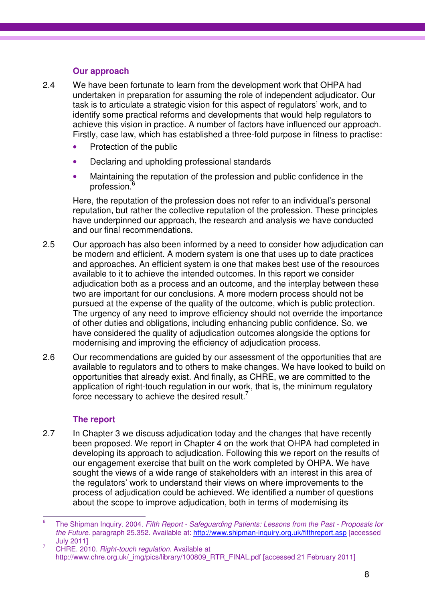### **Our approach**

- 2.4 We have been fortunate to learn from the development work that OHPA had undertaken in preparation for assuming the role of independent adjudicator. Our task is to articulate a strategic vision for this aspect of regulators' work, and to identify some practical reforms and developments that would help regulators to achieve this vision in practice. A number of factors have influenced our approach. Firstly, case law, which has established a three-fold purpose in fitness to practise:
	- Protection of the public
	- Declaring and upholding professional standards
	- Maintaining the reputation of the profession and public confidence in the profession.<sup>6</sup>

Here, the reputation of the profession does not refer to an individual's personal reputation, but rather the collective reputation of the profession. These principles have underpinned our approach, the research and analysis we have conducted and our final recommendations.

- 2.5 Our approach has also been informed by a need to consider how adjudication can be modern and efficient. A modern system is one that uses up to date practices and approaches. An efficient system is one that makes best use of the resources available to it to achieve the intended outcomes. In this report we consider adjudication both as a process and an outcome, and the interplay between these two are important for our conclusions. A more modern process should not be pursued at the expense of the quality of the outcome, which is public protection. The urgency of any need to improve efficiency should not override the importance of other duties and obligations, including enhancing public confidence. So, we have considered the quality of adjudication outcomes alongside the options for modernising and improving the efficiency of adjudication process.
- 2.6 Our recommendations are guided by our assessment of the opportunities that are available to regulators and to others to make changes. We have looked to build on opportunities that already exist. And finally, as CHRE, we are committed to the application of right-touch regulation in our work, that is, the minimum regulatory force necessary to achieve the desired result. $7$

### **The report**

2.7 In Chapter 3 we discuss adjudication today and the changes that have recently been proposed. We report in Chapter 4 on the work that OHPA had completed in developing its approach to adjudication. Following this we report on the results of our engagement exercise that built on the work completed by OHPA. We have sought the views of a wide range of stakeholders with an interest in this area of the regulators' work to understand their views on where improvements to the process of adjudication could be achieved. We identified a number of questions about the scope to improve adjudication, both in terms of modernising its

<sup>—&</sup>lt;br>6 The Shipman Inquiry. 2004. Fifth Report - Safeguarding Patients: Lessons from the Past - Proposals for the Future. paragraph 25.352. Available at: http://www.shipman-inquiry.org.uk/fifthreport.asp [accessed July 2011]

<sup>7</sup> CHRE. 2010. Right-touch regulation. Available at http://www.chre.org.uk/\_img/pics/library/100809\_RTR\_FINAL.pdf [accessed 21 February 2011]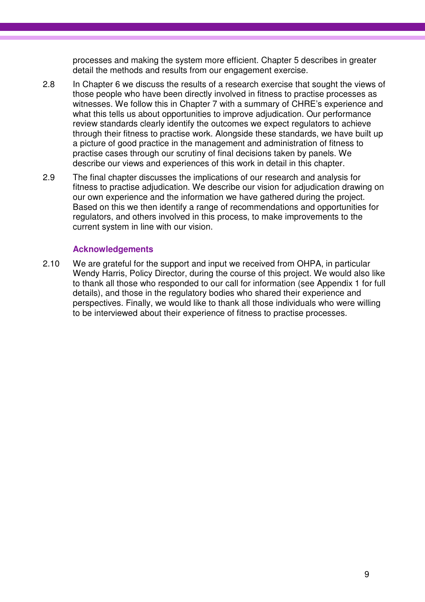processes and making the system more efficient. Chapter 5 describes in greater detail the methods and results from our engagement exercise.

- 2.8 In Chapter 6 we discuss the results of a research exercise that sought the views of those people who have been directly involved in fitness to practise processes as witnesses. We follow this in Chapter 7 with a summary of CHRE's experience and what this tells us about opportunities to improve adjudication. Our performance review standards clearly identify the outcomes we expect regulators to achieve through their fitness to practise work. Alongside these standards, we have built up a picture of good practice in the management and administration of fitness to practise cases through our scrutiny of final decisions taken by panels. We describe our views and experiences of this work in detail in this chapter.
- 2.9 The final chapter discusses the implications of our research and analysis for fitness to practise adjudication. We describe our vision for adjudication drawing on our own experience and the information we have gathered during the project. Based on this we then identify a range of recommendations and opportunities for regulators, and others involved in this process, to make improvements to the current system in line with our vision.

### **Acknowledgements**

2.10 We are grateful for the support and input we received from OHPA, in particular Wendy Harris, Policy Director, during the course of this project. We would also like to thank all those who responded to our call for information (see Appendix 1 for full details), and those in the regulatory bodies who shared their experience and perspectives. Finally, we would like to thank all those individuals who were willing to be interviewed about their experience of fitness to practise processes.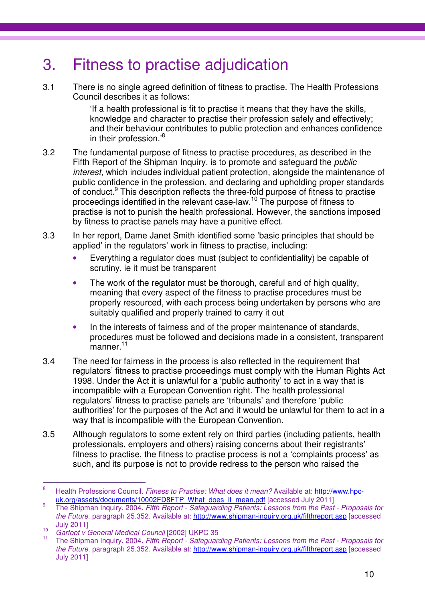### 3. Fitness to practise adjudication

3.1 There is no single agreed definition of fitness to practise. The Health Professions Council describes it as follows:

> 'If a health professional is fit to practise it means that they have the skills, knowledge and character to practise their profession safely and effectively; and their behaviour contributes to public protection and enhances confidence in their profession.'<sup>8</sup>

- 3.2 The fundamental purpose of fitness to practise procedures, as described in the Fifth Report of the Shipman Inquiry, is to promote and safeguard the public interest, which includes individual patient protection, alongside the maintenance of public confidence in the profession, and declaring and upholding proper standards of conduct.<sup>9</sup> This description reflects the three-fold purpose of fitness to practise proceedings identified in the relevant case-law.<sup>10</sup> The purpose of fitness to practise is not to punish the health professional. However, the sanctions imposed by fitness to practise panels may have a punitive effect.
- 3.3 In her report, Dame Janet Smith identified some 'basic principles that should be applied' in the regulators' work in fitness to practise, including:
	- Everything a regulator does must (subject to confidentiality) be capable of scrutiny, ie it must be transparent
	- The work of the regulator must be thorough, careful and of high quality, meaning that every aspect of the fitness to practise procedures must be properly resourced, with each process being undertaken by persons who are suitably qualified and properly trained to carry it out
	- In the interests of fairness and of the proper maintenance of standards, procedures must be followed and decisions made in a consistent, transparent manner.<sup>11</sup>
- 3.4 The need for fairness in the process is also reflected in the requirement that regulators' fitness to practise proceedings must comply with the Human Rights Act 1998. Under the Act it is unlawful for a 'public authority' to act in a way that is incompatible with a European Convention right. The health professional regulators' fitness to practise panels are 'tribunals' and therefore 'public authorities' for the purposes of the Act and it would be unlawful for them to act in a way that is incompatible with the European Convention.
- 3.5 Although regulators to some extent rely on third parties (including patients, health professionals, employers and others) raising concerns about their registrants' fitness to practise, the fitness to practise process is not a 'complaints process' as such, and its purpose is not to provide redress to the person who raised the

<sup>-&</sup>lt;br>8 Health Professions Council. Fitness to Practise: What does it mean? Available at: http://www.hpcuk.org/assets/documents/10002FD8FTP\_What\_does\_it\_mean.pdf [accessed July 2011]  $\alpha$ 

The Shipman Inquiry. 2004. Fifth Report - Safeguarding Patients: Lessons from the Past - Proposals for the Future. paragraph 25.352. Available at: http://www.shipman-inquiry.org.uk/fifthreport.asp [accessed July 2011]  $10<sup>-10</sup>$ 

Garfoot v General Medical Council [2002] UKPC 35

The Shipman Inquiry. 2004. Fifth Report - Safeguarding Patients: Lessons from the Past - Proposals for the Future. paragraph 25.352. Available at: http://www.shipman-inquiry.org.uk/fifthreport.asp [accessed July 2011]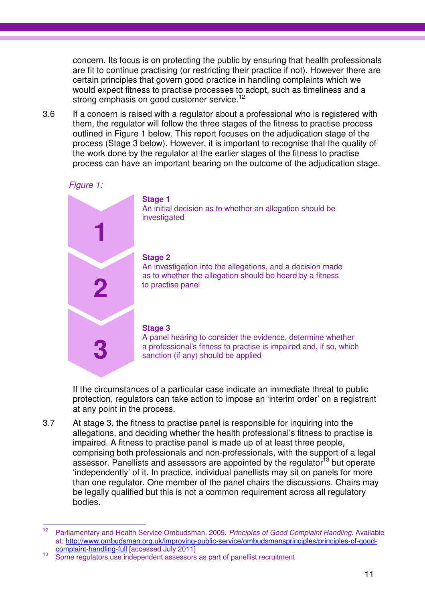concern. Its focus is on protecting the public by ensuring that health professionals are fit to continue practising (or restricting their practice if not). However there are certain principles that govern good practice in handling complaints which we would expect fitness to practise processes to adopt, such as timeliness and a strong emphasis on good customer service.<sup>12</sup>

3.6 If a concern is raised with a regulator about a professional who is registered with them, the regulator will follow the three stages of the fitness to practise process outlined in Figure 1 below. This report focuses on the adjudication stage of the process (Stage 3 below). However, it is important to recognise that the quality of the work done by the regulator at the earlier stages of the fitness to practise process can have an important bearing on the outcome of the adjudication stage.

### Figure 1:



### **Stage 1**

An initial decision as to whether an allegation should be investigated

#### **Stage 2**

An investigation into the allegations, and a decision made as to whether the allegation should be heard by a fitness to practise panel

#### **Stage 3**

A panel hearing to consider the evidence, determine whether a professional's fitness to practise is impaired and, if so, which sanction (if any) should be applied

If the circumstances of a particular case indicate an immediate threat to public protection, regulators can take action to impose an 'interim order' on a registrant at any point in the process.

3.7 At stage 3, the fitness to practise panel is responsible for inquiring into the allegations, and deciding whether the health professional's fitness to practise is impaired. A fitness to practise panel is made up of at least three people, comprising both professionals and non-professionals, with the support of a legal assessor. Panellists and assessors are appointed by the regulator<sup>13</sup> but operate 'independently' of it. In practice, individual panellists may sit on panels for more than one regulator. One member of the panel chairs the discussions. Chairs may be legally qualified but this is not a common requirement across all regulatory bodies.

 $12<sup>12</sup>$ Parliamentary and Health Service Ombudsman. 2009. Principles of Good Complaint Handling. Available at: http://www.ombudsman.org.uk/improving-public-service/ombudsmansprinciples/principles-of-goodcomplaint-handling-full [accessed July 2011]

<sup>&</sup>lt;sup>13</sup> Some regulators use independent assessors as part of panellist recruitment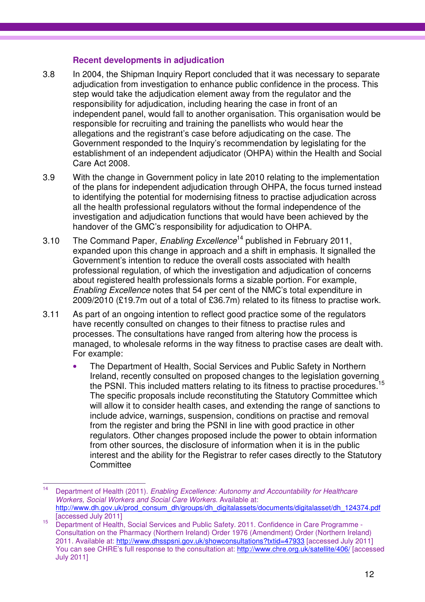### **Recent developments in adjudication**

- 3.8 In 2004, the Shipman Inquiry Report concluded that it was necessary to separate adjudication from investigation to enhance public confidence in the process. This step would take the adjudication element away from the regulator and the responsibility for adjudication, including hearing the case in front of an independent panel, would fall to another organisation. This organisation would be responsible for recruiting and training the panellists who would hear the allegations and the registrant's case before adjudicating on the case. The Government responded to the Inquiry's recommendation by legislating for the establishment of an independent adjudicator (OHPA) within the Health and Social Care Act 2008.
- 3.9 With the change in Government policy in late 2010 relating to the implementation of the plans for independent adjudication through OHPA, the focus turned instead to identifying the potential for modernising fitness to practise adjudication across all the health professional regulators without the formal independence of the investigation and adjudication functions that would have been achieved by the handover of the GMC's responsibility for adjudication to OHPA.
- 3.10 The Command Paper, Enabling Excellence<sup>14</sup> published in February 2011, expanded upon this change in approach and a shift in emphasis. It signalled the Government's intention to reduce the overall costs associated with health professional regulation, of which the investigation and adjudication of concerns about registered health professionals forms a sizable portion. For example, Enabling Excellence notes that 54 per cent of the NMC's total expenditure in 2009/2010 (£19.7m out of a total of £36.7m) related to its fitness to practise work.
- 3.11 As part of an ongoing intention to reflect good practice some of the regulators have recently consulted on changes to their fitness to practise rules and processes. The consultations have ranged from altering how the process is managed, to wholesale reforms in the way fitness to practise cases are dealt with. For example:
	- The Department of Health, Social Services and Public Safety in Northern Ireland, recently consulted on proposed changes to the legislation governing the PSNI. This included matters relating to its fitness to practise procedures.<sup>1</sup> The specific proposals include reconstituting the Statutory Committee which will allow it to consider health cases, and extending the range of sanctions to include advice, warnings, suspension, conditions on practise and removal from the register and bring the PSNI in line with good practice in other regulators. Other changes proposed include the power to obtain information from other sources, the disclosure of information when it is in the public interest and the ability for the Registrar to refer cases directly to the Statutory **Committee**

 $14$ Department of Health (2011). Enabling Excellence: Autonomy and Accountability for Healthcare Workers, Social Workers and Social Care Workers. Available at: http://www.dh.gov.uk/prod\_consum\_dh/groups/dh\_digitalassets/documents/digitalasset/dh\_124374.pdf [accessed July 2011]

<sup>15</sup> Department of Health, Social Services and Public Safety. 2011. Confidence in Care Programme - Consultation on the Pharmacy (Northern Ireland) Order 1976 (Amendment) Order (Northern Ireland) 2011. Available at: http://www.dhsspsni.gov.uk/showconsultations?txtid=47933 [accessed July 2011] You can see CHRE's full response to the consultation at: http://www.chre.org.uk/satellite/406/ [accessed July 2011]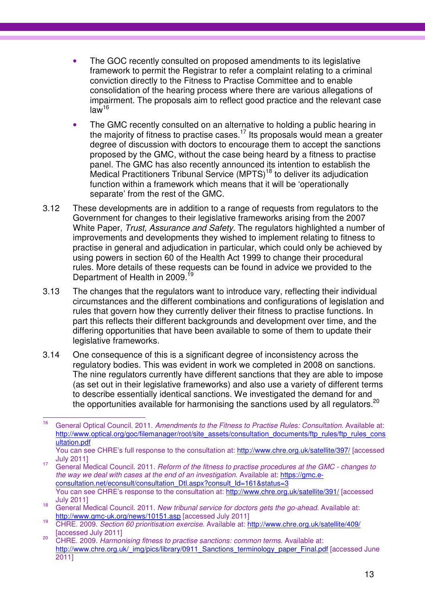- The GOC recently consulted on proposed amendments to its legislative framework to permit the Registrar to refer a complaint relating to a criminal conviction directly to the Fitness to Practise Committee and to enable consolidation of the hearing process where there are various allegations of impairment. The proposals aim to reflect good practice and the relevant case  $law<sup>16</sup>$
- The GMC recently consulted on an alternative to holding a public hearing in the majority of fitness to practise cases.<sup>17</sup> Its proposals would mean a greater degree of discussion with doctors to encourage them to accept the sanctions proposed by the GMC, without the case being heard by a fitness to practise panel. The GMC has also recently announced its intention to establish the Medical Practitioners Tribunal Service (MPTS)<sup>18</sup> to deliver its adjudication function within a framework which means that it will be 'operationally separate' from the rest of the GMC.
- 3.12 These developments are in addition to a range of requests from regulators to the Government for changes to their legislative frameworks arising from the 2007 White Paper, Trust, Assurance and Safety. The regulators highlighted a number of improvements and developments they wished to implement relating to fitness to practise in general and adjudication in particular, which could only be achieved by using powers in section 60 of the Health Act 1999 to change their procedural rules. More details of these requests can be found in advice we provided to the Department of Health in 2009.<sup>1</sup>
- 3.13 The changes that the regulators want to introduce vary, reflecting their individual circumstances and the different combinations and configurations of legislation and rules that govern how they currently deliver their fitness to practise functions. In part this reflects their different backgrounds and development over time, and the differing opportunities that have been available to some of them to update their legislative frameworks.
- 3.14 One consequence of this is a significant degree of inconsistency across the regulatory bodies. This was evident in work we completed in 2008 on sanctions. The nine regulators currently have different sanctions that they are able to impose (as set out in their legislative frameworks) and also use a variety of different terms to describe essentially identical sanctions. We investigated the demand for and the opportunities available for harmonising the sanctions used by all regulators.<sup>20</sup>

<sup>16</sup> General Optical Council. 2011. Amendments to the Fitness to Practise Rules: Consultation. Available at: http://www.optical.org/goc/filemanager/root/site\_assets/consultation\_documents/ftp\_rules/ftp\_rules\_cons ultation.pdf

You can see CHRE's full response to the consultation at: http://www.chre.org.uk/satellite/397/ [accessed July 2011]

<sup>&</sup>lt;sup>17</sup> General Medical Council. 2011. Reform of the fitness to practise procedures at the GMC - changes to the way we deal with cases at the end of an investigation. Available at: https://gmc.econsultation.net/econsult/consultation\_Dtl.aspx?consult\_Id=161&status=3 You can see CHRE's response to the consultation at: http://www.chre.org.uk/satellite/391/ [accessed July 2011]

<sup>&</sup>lt;sup>18</sup> General Medical Council. 2011. New tribunal service for doctors gets the go-ahead. Available at: http://www.gmc-uk.org/news/10151.asp [accessed July 2011]

<sup>19</sup> CHRE. 2009. Section 60 prioritisation exercise. Available at: http://www.chre.org.uk/satellite/409/ [accessed July 2011]

<sup>&</sup>lt;sup>20</sup> CHRE. 2009. Harmonising fitness to practise sanctions: common terms. Available at: http://www.chre.org.uk/\_img/pics/library/0911\_Sanctions\_terminology\_paper\_Final.pdf [accessed June 2011]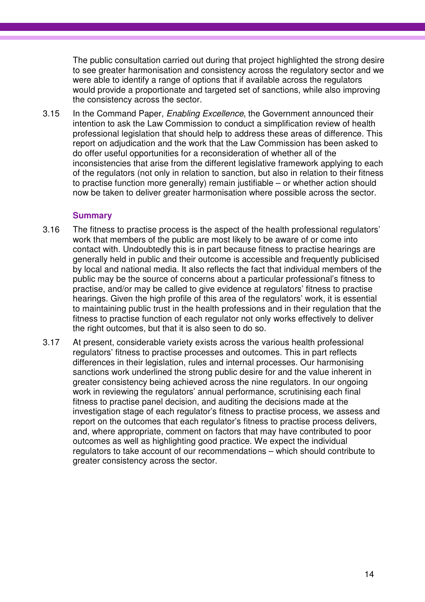The public consultation carried out during that project highlighted the strong desire to see greater harmonisation and consistency across the regulatory sector and we were able to identify a range of options that if available across the regulators would provide a proportionate and targeted set of sanctions, while also improving the consistency across the sector.

3.15 In the Command Paper, Enabling Excellence, the Government announced their intention to ask the Law Commission to conduct a simplification review of health professional legislation that should help to address these areas of difference. This report on adjudication and the work that the Law Commission has been asked to do offer useful opportunities for a reconsideration of whether all of the inconsistencies that arise from the different legislative framework applying to each of the regulators (not only in relation to sanction, but also in relation to their fitness to practise function more generally) remain justifiable – or whether action should now be taken to deliver greater harmonisation where possible across the sector.

### **Summary**

- 3.16 The fitness to practise process is the aspect of the health professional regulators' work that members of the public are most likely to be aware of or come into contact with. Undoubtedly this is in part because fitness to practise hearings are generally held in public and their outcome is accessible and frequently publicised by local and national media. It also reflects the fact that individual members of the public may be the source of concerns about a particular professional's fitness to practise, and/or may be called to give evidence at regulators' fitness to practise hearings. Given the high profile of this area of the regulators' work, it is essential to maintaining public trust in the health professions and in their regulation that the fitness to practise function of each regulator not only works effectively to deliver the right outcomes, but that it is also seen to do so.
- 3.17 At present, considerable variety exists across the various health professional regulators' fitness to practise processes and outcomes. This in part reflects differences in their legislation, rules and internal processes. Our harmonising sanctions work underlined the strong public desire for and the value inherent in greater consistency being achieved across the nine regulators. In our ongoing work in reviewing the regulators' annual performance, scrutinising each final fitness to practise panel decision, and auditing the decisions made at the investigation stage of each regulator's fitness to practise process, we assess and report on the outcomes that each regulator's fitness to practise process delivers, and, where appropriate, comment on factors that may have contributed to poor outcomes as well as highlighting good practice. We expect the individual regulators to take account of our recommendations – which should contribute to greater consistency across the sector.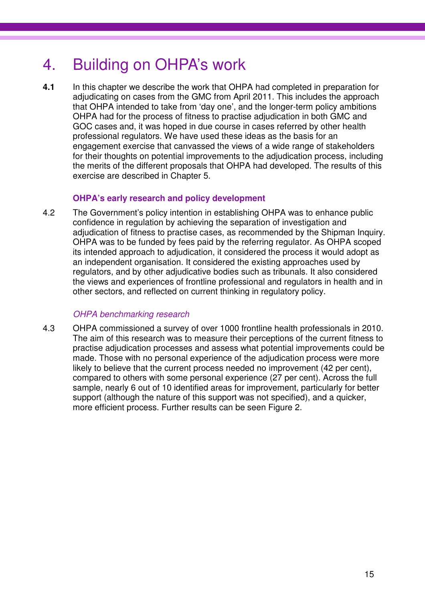### 4. Building on OHPA's work

**4.1** In this chapter we describe the work that OHPA had completed in preparation for adjudicating on cases from the GMC from April 2011. This includes the approach that OHPA intended to take from 'day one', and the longer-term policy ambitions OHPA had for the process of fitness to practise adjudication in both GMC and GOC cases and, it was hoped in due course in cases referred by other health professional regulators. We have used these ideas as the basis for an engagement exercise that canvassed the views of a wide range of stakeholders for their thoughts on potential improvements to the adjudication process, including the merits of the different proposals that OHPA had developed. The results of this exercise are described in Chapter 5.

### **OHPA's early research and policy development**

4.2 The Government's policy intention in establishing OHPA was to enhance public confidence in regulation by achieving the separation of investigation and adjudication of fitness to practise cases, as recommended by the Shipman Inquiry. OHPA was to be funded by fees paid by the referring regulator. As OHPA scoped its intended approach to adjudication, it considered the process it would adopt as an independent organisation. It considered the existing approaches used by regulators, and by other adjudicative bodies such as tribunals. It also considered the views and experiences of frontline professional and regulators in health and in other sectors, and reflected on current thinking in regulatory policy.

### OHPA benchmarking research

4.3 OHPA commissioned a survey of over 1000 frontline health professionals in 2010. The aim of this research was to measure their perceptions of the current fitness to practise adjudication processes and assess what potential improvements could be made. Those with no personal experience of the adjudication process were more likely to believe that the current process needed no improvement (42 per cent), compared to others with some personal experience (27 per cent). Across the full sample, nearly 6 out of 10 identified areas for improvement, particularly for better support (although the nature of this support was not specified), and a quicker, more efficient process. Further results can be seen Figure 2.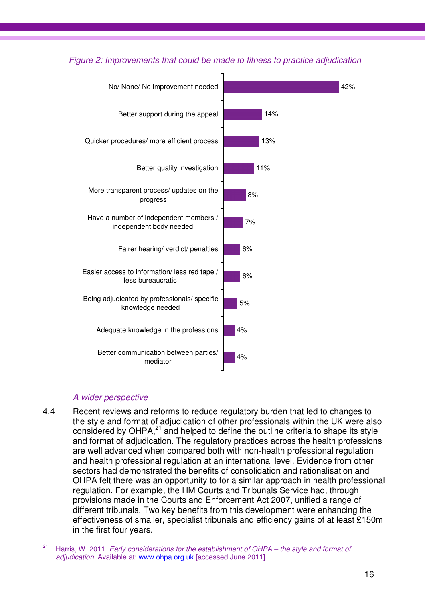### Figure 2: Improvements that could be made to fitness to practice adjudication



### A wider perspective

4.4 Recent reviews and reforms to reduce regulatory burden that led to changes to the style and format of adjudication of other professionals within the UK were also considered by OHPA,<sup>21</sup> and helped to define the outline criteria to shape its style and format of adjudication. The regulatory practices across the health professions are well advanced when compared both with non-health professional regulation and health professional regulation at an international level. Evidence from other sectors had demonstrated the benefits of consolidation and rationalisation and OHPA felt there was an opportunity to for a similar approach in health professional regulation. For example, the HM Courts and Tribunals Service had, through provisions made in the Courts and Enforcement Act 2007, unified a range of different tribunals. Two key benefits from this development were enhancing the effectiveness of smaller, specialist tribunals and efficiency gains of at least £150m in the first four years.

 $21$ Harris, W. 2011. Early considerations for the establishment of OHPA – the style and format of adjudication. Available at: www.ohpa.org.uk [accessed June 2011]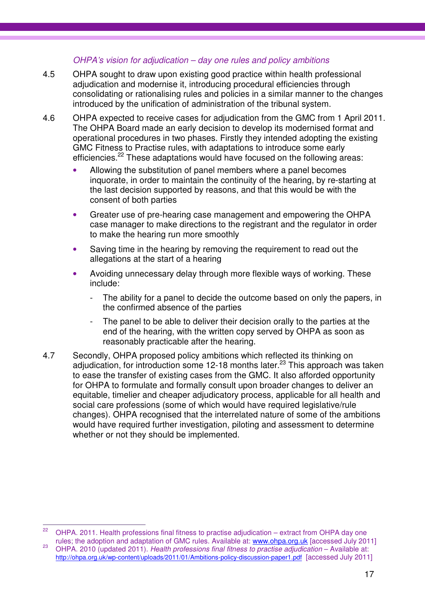### OHPA's vision for adjudication – day one rules and policy ambitions

- 4.5 OHPA sought to draw upon existing good practice within health professional adjudication and modernise it, introducing procedural efficiencies through consolidating or rationalising rules and policies in a similar manner to the changes introduced by the unification of administration of the tribunal system.
- 4.6 OHPA expected to receive cases for adjudication from the GMC from 1 April 2011. The OHPA Board made an early decision to develop its modernised format and operational procedures in two phases. Firstly they intended adopting the existing GMC Fitness to Practise rules, with adaptations to introduce some early efficiencies.<sup>22</sup> These adaptations would have focused on the following areas:
	- Allowing the substitution of panel members where a panel becomes inquorate, in order to maintain the continuity of the hearing, by re-starting at the last decision supported by reasons, and that this would be with the consent of both parties
	- Greater use of pre-hearing case management and empowering the OHPA case manager to make directions to the registrant and the regulator in order to make the hearing run more smoothly
	- Saving time in the hearing by removing the requirement to read out the allegations at the start of a hearing
	- Avoiding unnecessary delay through more flexible ways of working. These include:
		- The ability for a panel to decide the outcome based on only the papers, in the confirmed absence of the parties
		- The panel to be able to deliver their decision orally to the parties at the end of the hearing, with the written copy served by OHPA as soon as reasonably practicable after the hearing.
- 4.7 Secondly, OHPA proposed policy ambitions which reflected its thinking on adjudication, for introduction some 12-18 months later.<sup>23</sup> This approach was taken to ease the transfer of existing cases from the GMC. It also afforded opportunity for OHPA to formulate and formally consult upon broader changes to deliver an equitable, timelier and cheaper adjudicatory process, applicable for all health and social care professions (some of which would have required legislative/rule changes). OHPA recognised that the interrelated nature of some of the ambitions would have required further investigation, piloting and assessment to determine whether or not they should be implemented.

 $22<sub>2</sub>$ OHPA. 2011. Health professions final fitness to practise adjudication – extract from OHPA day one rules; the adoption and adaptation of GMC rules. Available at: www.ohpa.org.uk [accessed July 2011]

<sup>&</sup>lt;sup>23</sup> OHPA. 2010 (updated 2011). Health professions final fitness to practise adjudication – Available at: http://ohpa.org.uk/wp-content/uploads/2011/01/Ambitions-policy-discussion-paper1.pdf [accessed July 2011]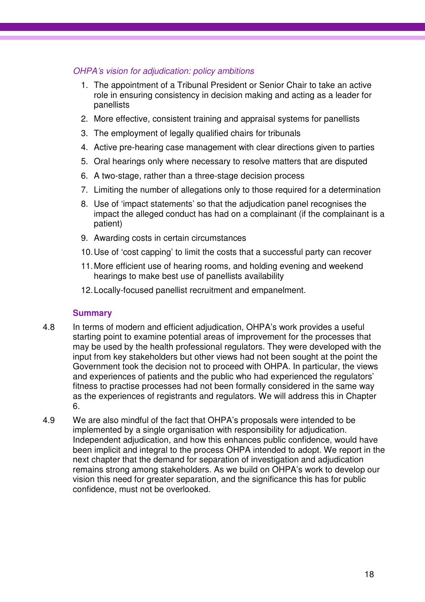### OHPA's vision for adjudication: policy ambitions

- 1. The appointment of a Tribunal President or Senior Chair to take an active role in ensuring consistency in decision making and acting as a leader for panellists
- 2. More effective, consistent training and appraisal systems for panellists
- 3. The employment of legally qualified chairs for tribunals
- 4. Active pre-hearing case management with clear directions given to parties
- 5. Oral hearings only where necessary to resolve matters that are disputed
- 6. A two-stage, rather than a three-stage decision process
- 7. Limiting the number of allegations only to those required for a determination
- 8. Use of 'impact statements' so that the adjudication panel recognises the impact the alleged conduct has had on a complainant (if the complainant is a patient)
- 9. Awarding costs in certain circumstances
- 10. Use of 'cost capping' to limit the costs that a successful party can recover
- 11. More efficient use of hearing rooms, and holding evening and weekend hearings to make best use of panellists availability
- 12. Locally-focused panellist recruitment and empanelment.

### **Summary**

- 4.8 In terms of modern and efficient adjudication, OHPA's work provides a useful starting point to examine potential areas of improvement for the processes that may be used by the health professional regulators. They were developed with the input from key stakeholders but other views had not been sought at the point the Government took the decision not to proceed with OHPA. In particular, the views and experiences of patients and the public who had experienced the regulators' fitness to practise processes had not been formally considered in the same way as the experiences of registrants and regulators. We will address this in Chapter 6.
- 4.9 We are also mindful of the fact that OHPA's proposals were intended to be implemented by a single organisation with responsibility for adjudication. Independent adjudication, and how this enhances public confidence, would have been implicit and integral to the process OHPA intended to adopt. We report in the next chapter that the demand for separation of investigation and adjudication remains strong among stakeholders. As we build on OHPA's work to develop our vision this need for greater separation, and the significance this has for public confidence, must not be overlooked.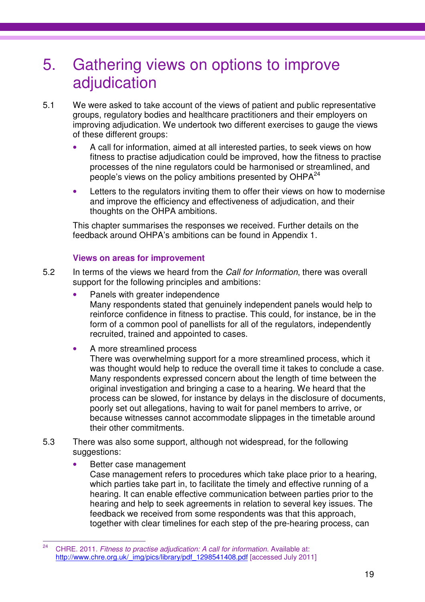### 5. Gathering views on options to improve adjudication

- 5.1 We were asked to take account of the views of patient and public representative groups, regulatory bodies and healthcare practitioners and their employers on improving adjudication. We undertook two different exercises to gauge the views of these different groups:
	- A call for information, aimed at all interested parties, to seek views on how fitness to practise adjudication could be improved, how the fitness to practise processes of the nine regulators could be harmonised or streamlined, and people's views on the policy ambitions presented by  $OHPA<sup>24</sup>$
	- Letters to the regulators inviting them to offer their views on how to modernise and improve the efficiency and effectiveness of adjudication, and their thoughts on the OHPA ambitions.

This chapter summarises the responses we received. Further details on the feedback around OHPA's ambitions can be found in Appendix 1.

### **Views on areas for improvement**

- 5.2 In terms of the views we heard from the Call for Information, there was overall support for the following principles and ambitions:
	- Panels with greater independence Many respondents stated that genuinely independent panels would help to reinforce confidence in fitness to practise. This could, for instance, be in the form of a common pool of panellists for all of the regulators, independently recruited, trained and appointed to cases.
	- A more streamlined process

There was overwhelming support for a more streamlined process, which it was thought would help to reduce the overall time it takes to conclude a case. Many respondents expressed concern about the length of time between the original investigation and bringing a case to a hearing. We heard that the process can be slowed, for instance by delays in the disclosure of documents, poorly set out allegations, having to wait for panel members to arrive, or because witnesses cannot accommodate slippages in the timetable around their other commitments.

- 5.3 There was also some support, although not widespread, for the following suggestions:
	- Better case management Case management refers to procedures which take place prior to a hearing, which parties take part in, to facilitate the timely and effective running of a hearing. It can enable effective communication between parties prior to the hearing and help to seek agreements in relation to several key issues. The feedback we received from some respondents was that this approach, together with clear timelines for each step of the pre-hearing process, can

 $24$ CHRE. 2011. Fitness to practise adjudication: A call for information. Available at: http://www.chre.org.uk/\_img/pics/library/pdf\_1298541408.pdf [accessed July 2011]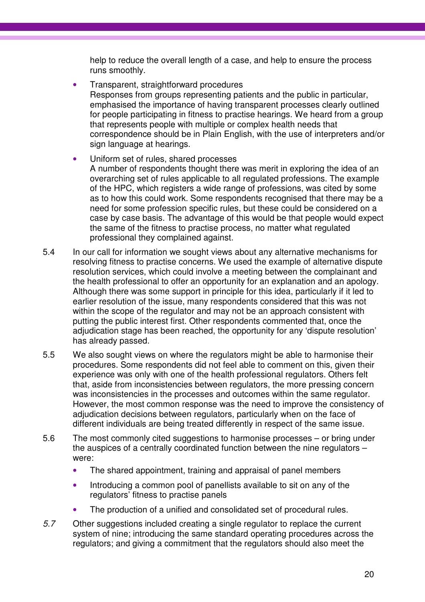help to reduce the overall length of a case, and help to ensure the process runs smoothly.

- Transparent, straightforward procedures Responses from groups representing patients and the public in particular, emphasised the importance of having transparent processes clearly outlined for people participating in fitness to practise hearings. We heard from a group that represents people with multiple or complex health needs that correspondence should be in Plain English, with the use of interpreters and/or sign language at hearings.
- Uniform set of rules, shared processes A number of respondents thought there was merit in exploring the idea of an overarching set of rules applicable to all regulated professions. The example of the HPC, which registers a wide range of professions, was cited by some as to how this could work. Some respondents recognised that there may be a need for some profession specific rules, but these could be considered on a case by case basis. The advantage of this would be that people would expect the same of the fitness to practise process, no matter what regulated professional they complained against.
- 5.4 In our call for information we sought views about any alternative mechanisms for resolving fitness to practise concerns. We used the example of alternative dispute resolution services, which could involve a meeting between the complainant and the health professional to offer an opportunity for an explanation and an apology. Although there was some support in principle for this idea, particularly if it led to earlier resolution of the issue, many respondents considered that this was not within the scope of the regulator and may not be an approach consistent with putting the public interest first. Other respondents commented that, once the adjudication stage has been reached, the opportunity for any 'dispute resolution' has already passed.
- 5.5 We also sought views on where the regulators might be able to harmonise their procedures. Some respondents did not feel able to comment on this, given their experience was only with one of the health professional regulators. Others felt that, aside from inconsistencies between regulators, the more pressing concern was inconsistencies in the processes and outcomes within the same regulator. However, the most common response was the need to improve the consistency of adjudication decisions between regulators, particularly when on the face of different individuals are being treated differently in respect of the same issue.
- 5.6 The most commonly cited suggestions to harmonise processes or bring under the auspices of a centrally coordinated function between the nine regulators – were:
	- The shared appointment, training and appraisal of panel members
	- Introducing a common pool of panellists available to sit on any of the regulators' fitness to practise panels
	- The production of a unified and consolidated set of procedural rules.
- 5.7 Other suggestions included creating a single regulator to replace the current system of nine; introducing the same standard operating procedures across the regulators; and giving a commitment that the regulators should also meet the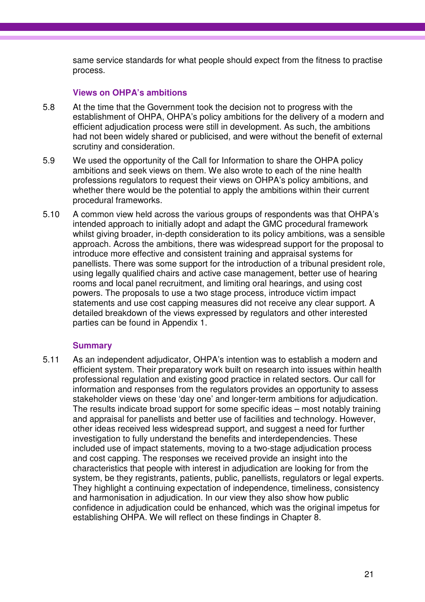same service standards for what people should expect from the fitness to practise process.

### **Views on OHPA's ambitions**

- 5.8 At the time that the Government took the decision not to progress with the establishment of OHPA, OHPA's policy ambitions for the delivery of a modern and efficient adjudication process were still in development. As such, the ambitions had not been widely shared or publicised, and were without the benefit of external scrutiny and consideration.
- 5.9 We used the opportunity of the Call for Information to share the OHPA policy ambitions and seek views on them. We also wrote to each of the nine health professions regulators to request their views on OHPA's policy ambitions, and whether there would be the potential to apply the ambitions within their current procedural frameworks.
- 5.10 A common view held across the various groups of respondents was that OHPA's intended approach to initially adopt and adapt the GMC procedural framework whilst giving broader, in-depth consideration to its policy ambitions, was a sensible approach. Across the ambitions, there was widespread support for the proposal to introduce more effective and consistent training and appraisal systems for panellists. There was some support for the introduction of a tribunal president role, using legally qualified chairs and active case management, better use of hearing rooms and local panel recruitment, and limiting oral hearings, and using cost powers. The proposals to use a two stage process, introduce victim impact statements and use cost capping measures did not receive any clear support. A detailed breakdown of the views expressed by regulators and other interested parties can be found in Appendix 1.

### **Summary**

5.11 As an independent adjudicator, OHPA's intention was to establish a modern and efficient system. Their preparatory work built on research into issues within health professional regulation and existing good practice in related sectors. Our call for information and responses from the regulators provides an opportunity to assess stakeholder views on these 'day one' and longer-term ambitions for adjudication. The results indicate broad support for some specific ideas – most notably training and appraisal for panellists and better use of facilities and technology. However, other ideas received less widespread support, and suggest a need for further investigation to fully understand the benefits and interdependencies. These included use of impact statements, moving to a two-stage adjudication process and cost capping. The responses we received provide an insight into the characteristics that people with interest in adjudication are looking for from the system, be they registrants, patients, public, panellists, regulators or legal experts. They highlight a continuing expectation of independence, timeliness, consistency and harmonisation in adjudication. In our view they also show how public confidence in adjudication could be enhanced, which was the original impetus for establishing OHPA. We will reflect on these findings in Chapter 8.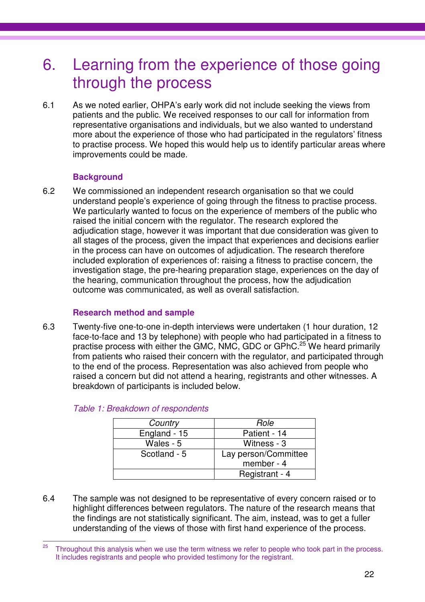### 6. Learning from the experience of those going through the process

6.1 As we noted earlier, OHPA's early work did not include seeking the views from patients and the public. We received responses to our call for information from representative organisations and individuals, but we also wanted to understand more about the experience of those who had participated in the regulators' fitness to practise process. We hoped this would help us to identify particular areas where improvements could be made.

### **Background**

6.2 We commissioned an independent research organisation so that we could understand people's experience of going through the fitness to practise process. We particularly wanted to focus on the experience of members of the public who raised the initial concern with the regulator. The research explored the adjudication stage, however it was important that due consideration was given to all stages of the process, given the impact that experiences and decisions earlier in the process can have on outcomes of adjudication. The research therefore included exploration of experiences of: raising a fitness to practise concern, the investigation stage, the pre-hearing preparation stage, experiences on the day of the hearing, communication throughout the process, how the adjudication outcome was communicated, as well as overall satisfaction.

### **Research method and sample**

6.3 Twenty-five one-to-one in-depth interviews were undertaken (1 hour duration, 12 face-to-face and 13 by telephone) with people who had participated in a fitness to practise process with either the GMC, NMC, GDC or GPhC.<sup>25</sup> We heard primarily from patients who raised their concern with the regulator, and participated through to the end of the process. Representation was also achieved from people who raised a concern but did not attend a hearing, registrants and other witnesses. A breakdown of participants is included below.

| Country      | Role                               |
|--------------|------------------------------------|
| England - 15 | Patient - 14                       |
| Wales - 5    | Witness - 3                        |
| Scotland - 5 | Lay person/Committee<br>member - 4 |
|              | Registrant - 4                     |

### Table 1: Breakdown of respondents

6.4 The sample was not designed to be representative of every concern raised or to highlight differences between regulators. The nature of the research means that the findings are not statistically significant. The aim, instead, was to get a fuller understanding of the views of those with first hand experience of the process.

 $25$ Throughout this analysis when we use the term witness we refer to people who took part in the process. It includes registrants and people who provided testimony for the registrant.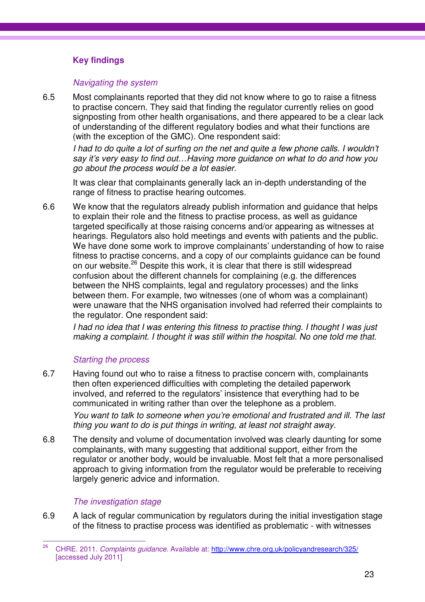### **Key findings**

### Navigating the system

6.5 Most complainants reported that they did not know where to go to raise a fitness to practise concern. They said that finding the regulator currently relies on good signposting from other health organisations, and there appeared to be a clear lack of understanding of the different regulatory bodies and what their functions are (with the exception of the GMC). One respondent said:

I had to do quite a lot of surfing on the net and quite a few phone calls. I wouldn't say it's very easy to find out…Having more guidance on what to do and how you go about the process would be a lot easier.

It was clear that complainants generally lack an in-depth understanding of the range of fitness to practise hearing outcomes.

6.6 We know that the regulators already publish information and guidance that helps to explain their role and the fitness to practise process, as well as guidance targeted specifically at those raising concerns and/or appearing as witnesses at hearings. Regulators also hold meetings and events with patients and the public. We have done some work to improve complainants' understanding of how to raise fitness to practise concerns, and a copy of our complaints guidance can be found on our website.<sup>26</sup> Despite this work, it is clear that there is still widespread confusion about the different channels for complaining (e.g. the differences between the NHS complaints, legal and regulatory processes) and the links between them. For example, two witnesses (one of whom was a complainant) were unaware that the NHS organisation involved had referred their complaints to the regulator. One respondent said:

I had no idea that I was entering this fitness to practise thing. I thought I was just making a complaint. I thought it was still within the hospital. No one told me that.

### Starting the process

- 6.7 Having found out who to raise a fitness to practise concern with, complainants then often experienced difficulties with completing the detailed paperwork involved, and referred to the regulators' insistence that everything had to be communicated in writing rather than over the telephone as a problem. You want to talk to someone when you're emotional and frustrated and ill. The last thing you want to do is put things in writing, at least not straight away.
- 6.8 The density and volume of documentation involved was clearly daunting for some complainants, with many suggesting that additional support, either from the regulator or another body, would be invaluable. Most felt that a more personalised approach to giving information from the regulator would be preferable to receiving largely generic advice and information.

### The investigation stage

6.9 A lack of regular communication by regulators during the initial investigation stage of the fitness to practise process was identified as problematic - with witnesses

<sup>26</sup> <sup>26</sup> CHRE. 2011. Complaints guidance. Available at: http://www.chre.org.uk/policyandresearch/325/ [accessed July 2011]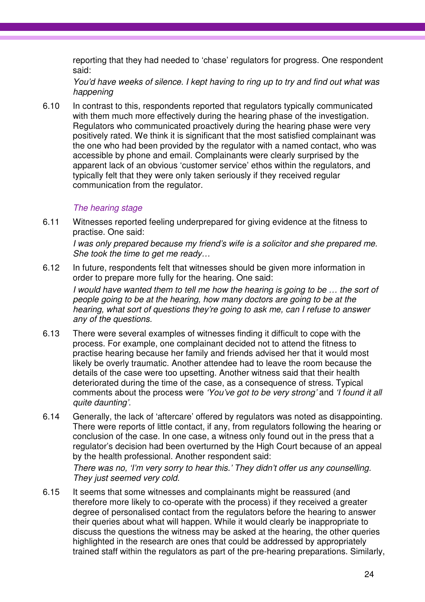reporting that they had needed to 'chase' regulators for progress. One respondent said:

You'd have weeks of silence. I kept having to ring up to try and find out what was happening

6.10 In contrast to this, respondents reported that regulators typically communicated with them much more effectively during the hearing phase of the investigation. Regulators who communicated proactively during the hearing phase were very positively rated. We think it is significant that the most satisfied complainant was the one who had been provided by the regulator with a named contact, who was accessible by phone and email. Complainants were clearly surprised by the apparent lack of an obvious 'customer service' ethos within the regulators, and typically felt that they were only taken seriously if they received regular communication from the regulator.

### The hearing stage

6.11 Witnesses reported feeling underprepared for giving evidence at the fitness to practise. One said:

I was only prepared because my friend's wife is a solicitor and she prepared me. She took the time to get me ready…

- 6.12 In future, respondents felt that witnesses should be given more information in order to prepare more fully for the hearing. One said: I would have wanted them to tell me how the hearing is going to be … the sort of people going to be at the hearing, how many doctors are going to be at the hearing, what sort of questions they're going to ask me, can I refuse to answer any of the questions.
- 6.13 There were several examples of witnesses finding it difficult to cope with the process. For example, one complainant decided not to attend the fitness to practise hearing because her family and friends advised her that it would most likely be overly traumatic. Another attendee had to leave the room because the details of the case were too upsetting. Another witness said that their health deteriorated during the time of the case, as a consequence of stress. Typical comments about the process were 'You've got to be very strong' and 'I found it all quite daunting'.
- 6.14 Generally, the lack of 'aftercare' offered by regulators was noted as disappointing. There were reports of little contact, if any, from regulators following the hearing or conclusion of the case. In one case, a witness only found out in the press that a regulator's decision had been overturned by the High Court because of an appeal by the health professional. Another respondent said:

There was no, 'I'm very sorry to hear this.' They didn't offer us any counselling. They just seemed very cold.

6.15 It seems that some witnesses and complainants might be reassured (and therefore more likely to co-operate with the process) if they received a greater degree of personalised contact from the regulators before the hearing to answer their queries about what will happen. While it would clearly be inappropriate to discuss the questions the witness may be asked at the hearing, the other queries highlighted in the research are ones that could be addressed by appropriately trained staff within the regulators as part of the pre-hearing preparations. Similarly,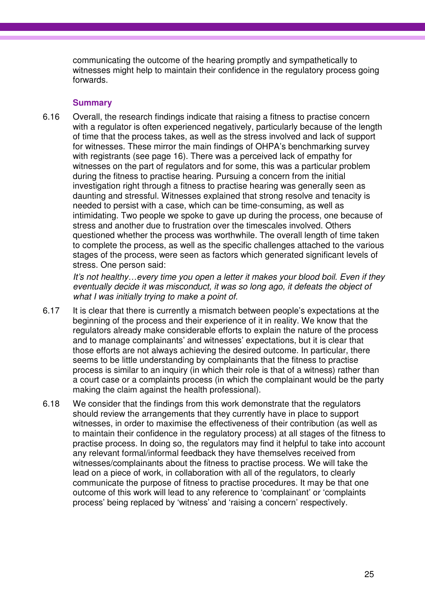communicating the outcome of the hearing promptly and sympathetically to witnesses might help to maintain their confidence in the regulatory process going forwards.

### **Summary**

6.16 Overall, the research findings indicate that raising a fitness to practise concern with a regulator is often experienced negatively, particularly because of the length of time that the process takes, as well as the stress involved and lack of support for witnesses. These mirror the main findings of OHPA's benchmarking survey with registrants (see page 16). There was a perceived lack of empathy for witnesses on the part of regulators and for some, this was a particular problem during the fitness to practise hearing. Pursuing a concern from the initial investigation right through a fitness to practise hearing was generally seen as daunting and stressful. Witnesses explained that strong resolve and tenacity is needed to persist with a case, which can be time-consuming, as well as intimidating. Two people we spoke to gave up during the process, one because of stress and another due to frustration over the timescales involved. Others questioned whether the process was worthwhile. The overall length of time taken to complete the process, as well as the specific challenges attached to the various stages of the process, were seen as factors which generated significant levels of stress. One person said:

It's not healthy…every time you open a letter it makes your blood boil. Even if they eventually decide it was misconduct, it was so long ago, it defeats the object of what I was initially trying to make a point of.

- 6.17 It is clear that there is currently a mismatch between people's expectations at the beginning of the process and their experience of it in reality. We know that the regulators already make considerable efforts to explain the nature of the process and to manage complainants' and witnesses' expectations, but it is clear that those efforts are not always achieving the desired outcome. In particular, there seems to be little understanding by complainants that the fitness to practise process is similar to an inquiry (in which their role is that of a witness) rather than a court case or a complaints process (in which the complainant would be the party making the claim against the health professional).
- 6.18 We consider that the findings from this work demonstrate that the regulators should review the arrangements that they currently have in place to support witnesses, in order to maximise the effectiveness of their contribution (as well as to maintain their confidence in the regulatory process) at all stages of the fitness to practise process. In doing so, the regulators may find it helpful to take into account any relevant formal/informal feedback they have themselves received from witnesses/complainants about the fitness to practise process. We will take the lead on a piece of work, in collaboration with all of the regulators, to clearly communicate the purpose of fitness to practise procedures. It may be that one outcome of this work will lead to any reference to 'complainant' or 'complaints process' being replaced by 'witness' and 'raising a concern' respectively.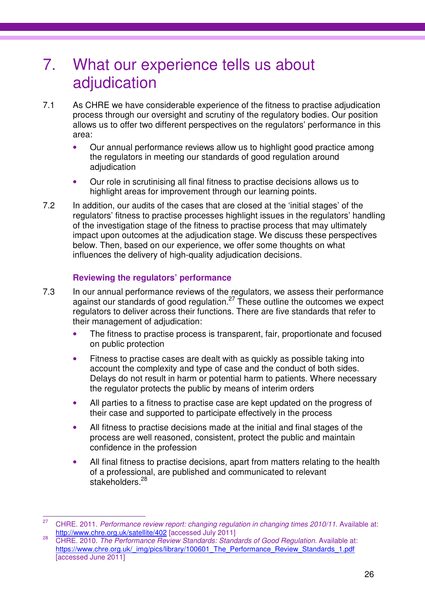### 7. What our experience tells us about adjudication

- 7.1 As CHRE we have considerable experience of the fitness to practise adjudication process through our oversight and scrutiny of the regulatory bodies. Our position allows us to offer two different perspectives on the regulators' performance in this area:
	- Our annual performance reviews allow us to highlight good practice among the regulators in meeting our standards of good regulation around adjudication
	- Our role in scrutinising all final fitness to practise decisions allows us to highlight areas for improvement through our learning points.
- 7.2 In addition, our audits of the cases that are closed at the 'initial stages' of the regulators' fitness to practise processes highlight issues in the regulators' handling of the investigation stage of the fitness to practise process that may ultimately impact upon outcomes at the adjudication stage. We discuss these perspectives below. Then, based on our experience, we offer some thoughts on what influences the delivery of high-quality adjudication decisions.

### **Reviewing the regulators' performance**

- 7.3 In our annual performance reviews of the regulators, we assess their performance against our standards of good regulation.<sup>27</sup> These outline the outcomes we expect regulators to deliver across their functions. There are five standards that refer to their management of adjudication:
	- The fitness to practise process is transparent, fair, proportionate and focused on public protection
	- Fitness to practise cases are dealt with as quickly as possible taking into account the complexity and type of case and the conduct of both sides. Delays do not result in harm or potential harm to patients. Where necessary the regulator protects the public by means of interim orders
	- All parties to a fitness to practise case are kept updated on the progress of their case and supported to participate effectively in the process
	- All fitness to practise decisions made at the initial and final stages of the process are well reasoned, consistent, protect the public and maintain confidence in the profession
	- All final fitness to practise decisions, apart from matters relating to the health of a professional, are published and communicated to relevant stakeholders.<sup>28</sup>

 $27$ <sup>27</sup> CHRE. 2011. Performance review report: changing regulation in changing times 2010/11. Available at: http://www.chre.org.uk/satellite/402 [accessed July 2011]

<sup>&</sup>lt;sup>28</sup> CHRE. 2010. The Performance Review Standards: Standards of Good Regulation. Available at: https://www.chre.org.uk/\_img/pics/library/100601\_The\_Performance\_Review\_Standards\_1.pdf [accessed June 2011]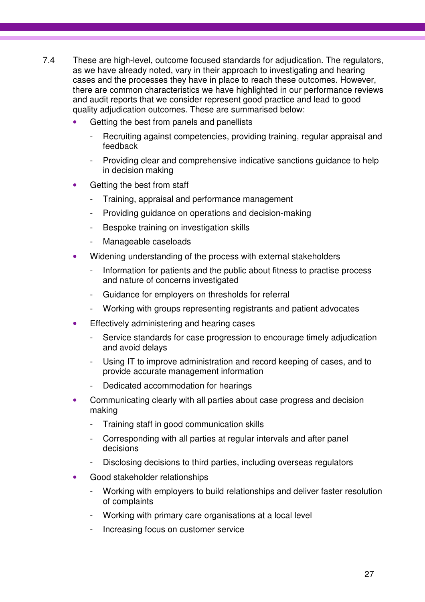- 7.4 These are high-level, outcome focused standards for adjudication. The regulators, as we have already noted, vary in their approach to investigating and hearing cases and the processes they have in place to reach these outcomes. However, there are common characteristics we have highlighted in our performance reviews and audit reports that we consider represent good practice and lead to good quality adjudication outcomes. These are summarised below:
	- Getting the best from panels and panellists
		- Recruiting against competencies, providing training, regular appraisal and feedback
		- Providing clear and comprehensive indicative sanctions guidance to help in decision making
	- Getting the best from staff
		- Training, appraisal and performance management
		- Providing guidance on operations and decision-making
		- Bespoke training on investigation skills
		- Manageable caseloads
	- Widening understanding of the process with external stakeholders
		- Information for patients and the public about fitness to practise process and nature of concerns investigated
		- Guidance for employers on thresholds for referral
		- Working with groups representing registrants and patient advocates
	- Effectively administering and hearing cases
		- Service standards for case progression to encourage timely adjudication and avoid delays
		- Using IT to improve administration and record keeping of cases, and to provide accurate management information
		- Dedicated accommodation for hearings
	- Communicating clearly with all parties about case progress and decision making
		- Training staff in good communication skills
		- Corresponding with all parties at regular intervals and after panel decisions
		- Disclosing decisions to third parties, including overseas regulators
	- Good stakeholder relationships
		- Working with employers to build relationships and deliver faster resolution of complaints
		- Working with primary care organisations at a local level
		- Increasing focus on customer service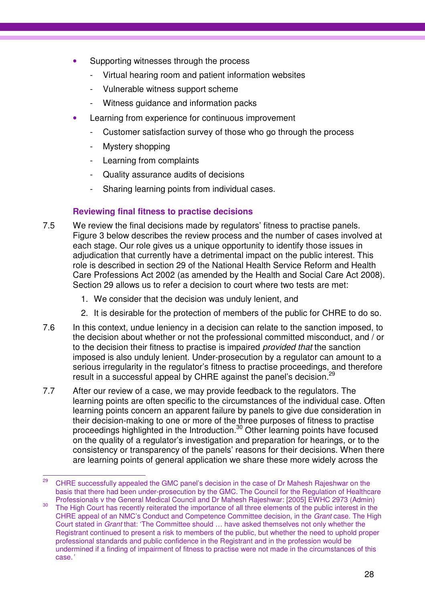- Supporting witnesses through the process
	- Virtual hearing room and patient information websites
	- Vulnerable witness support scheme
	- Witness guidance and information packs
- Learning from experience for continuous improvement
	- Customer satisfaction survey of those who go through the process
	- Mystery shopping
	- Learning from complaints
	- Quality assurance audits of decisions
	- Sharing learning points from individual cases.

### **Reviewing final fitness to practise decisions**

- 7.5 We review the final decisions made by regulators' fitness to practise panels. Figure 3 below describes the review process and the number of cases involved at each stage. Our role gives us a unique opportunity to identify those issues in adjudication that currently have a detrimental impact on the public interest. This role is described in section 29 of the National Health Service Reform and Health Care Professions Act 2002 (as amended by the Health and Social Care Act 2008). Section 29 allows us to refer a decision to court where two tests are met:
	- 1. We consider that the decision was unduly lenient, and
	- 2. It is desirable for the protection of members of the public for CHRE to do so.
- 7.6 In this context, undue leniency in a decision can relate to the sanction imposed, to the decision about whether or not the professional committed misconduct, and / or to the decision their fitness to practise is impaired provided that the sanction imposed is also unduly lenient. Under-prosecution by a regulator can amount to a serious irregularity in the regulator's fitness to practise proceedings, and therefore result in a successful appeal by CHRE against the panel's decision.<sup>29</sup>
- 7.7 After our review of a case, we may provide feedback to the regulators. The learning points are often specific to the circumstances of the individual case. Often learning points concern an apparent failure by panels to give due consideration in their decision-making to one or more of the three purposes of fitness to practise proceedings highlighted in the Introduction.<sup>30</sup> Other learning points have focused on the quality of a regulator's investigation and preparation for hearings, or to the consistency or transparency of the panels' reasons for their decisions. When there are learning points of general application we share these more widely across the

<sup>29</sup> <sup>29</sup> CHRE successfully appealed the GMC panel's decision in the case of Dr Mahesh Rajeshwar on the basis that there had been under-prosecution by the GMC. The Council for the Regulation of Healthcare Professionals v the General Medical Council and Dr Mahesh Rajeshwar: [2005] EWHC 2973 (Admin)

<sup>&</sup>lt;sup>30</sup> The High Court has recently reiterated the importance of all three elements of the public interest in the CHRE appeal of an NMC's Conduct and Competence Committee decision, in the Grant case. The High Court stated in Grant that: 'The Committee should … have asked themselves not only whether the Registrant continued to present a risk to members of the public, but whether the need to uphold proper professional standards and public confidence in the Registrant and in the profession would be undermined if a finding of impairment of fitness to practise were not made in the circumstances of this case.'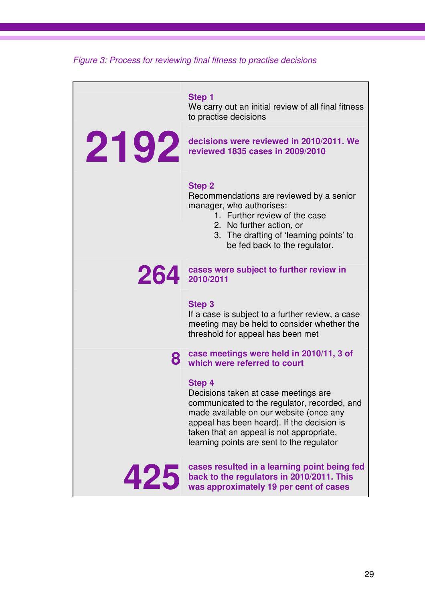Figure 3: Process for reviewing final fitness to practise decisions

**Step 1**  We carry out an initial review of all final fitness to practise decisions **2192 decisions were reviewed in 2010/2011. We reviewed 1835 cases in 2009/2010 reviewed 1835 cases in 2009/2010 Step 2** Recommendations are reviewed by a senior manager, who authorises: 1. Further review of the case 2. No further action, or 3. The drafting of 'learning points' to be fed back to the regulator. **264 cases were subject to further review in 2010/2011 Step 3**  If a case is subject to a further review, a case meeting may be held to consider whether the threshold for appeal has been met **8 case meetings were held in 2010/11, 3 of which were referred to court Step 4**  Decisions taken at case meetings are communicated to the regulator, recorded, and made available on our website (once any appeal has been heard). If the decision is taken that an appeal is not appropriate, learning points are sent to the regulator **425 cases resulted in a learning point being fed** back to the regulators in 2010/2011. This was approximately 19 per cent of cases **back to the regulators in 2010/2011. This was approximately 19 per cent of cases**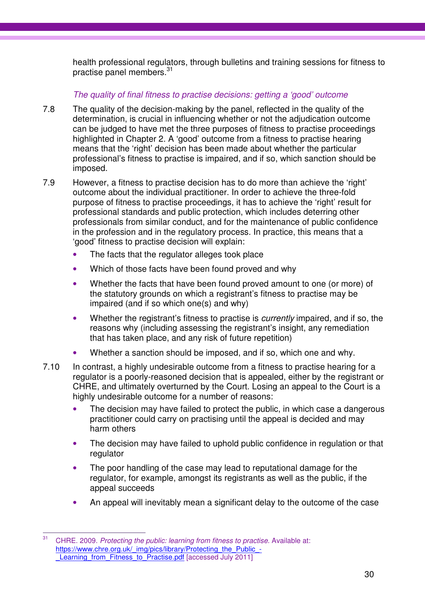health professional regulators, through bulletins and training sessions for fitness to practise panel members.<sup>31</sup>

### The quality of final fitness to practise decisions: getting a 'good' outcome

- 7.8 The quality of the decision-making by the panel, reflected in the quality of the determination, is crucial in influencing whether or not the adjudication outcome can be judged to have met the three purposes of fitness to practise proceedings highlighted in Chapter 2. A 'good' outcome from a fitness to practise hearing means that the 'right' decision has been made about whether the particular professional's fitness to practise is impaired, and if so, which sanction should be imposed.
- 7.9 However, a fitness to practise decision has to do more than achieve the 'right' outcome about the individual practitioner. In order to achieve the three-fold purpose of fitness to practise proceedings, it has to achieve the 'right' result for professional standards and public protection, which includes deterring other professionals from similar conduct, and for the maintenance of public confidence in the profession and in the regulatory process. In practice, this means that a 'good' fitness to practise decision will explain:
	- The facts that the regulator alleges took place
	- Which of those facts have been found proved and why
	- Whether the facts that have been found proved amount to one (or more) of the statutory grounds on which a registrant's fitness to practise may be impaired (and if so which one(s) and why)
	- Whether the registrant's fitness to practise is *currently* impaired, and if so, the reasons why (including assessing the registrant's insight, any remediation that has taken place, and any risk of future repetition)
	- Whether a sanction should be imposed, and if so, which one and why.
- 7.10 In contrast, a highly undesirable outcome from a fitness to practise hearing for a regulator is a poorly-reasoned decision that is appealed, either by the registrant or CHRE, and ultimately overturned by the Court. Losing an appeal to the Court is a highly undesirable outcome for a number of reasons:
	- The decision may have failed to protect the public, in which case a dangerous practitioner could carry on practising until the appeal is decided and may harm others
	- The decision may have failed to uphold public confidence in regulation or that regulator
	- The poor handling of the case may lead to reputational damage for the regulator, for example, amongst its registrants as well as the public, if the appeal succeeds
	- An appeal will inevitably mean a significant delay to the outcome of the case

 $31$ CHRE. 2009. Protecting the public: learning from fitness to practise. Available at: https://www.chre.org.uk/\_img/pics/library/Protecting\_the\_Public\_-Learning from Fitness to Practise.pdf [accessed July 2011]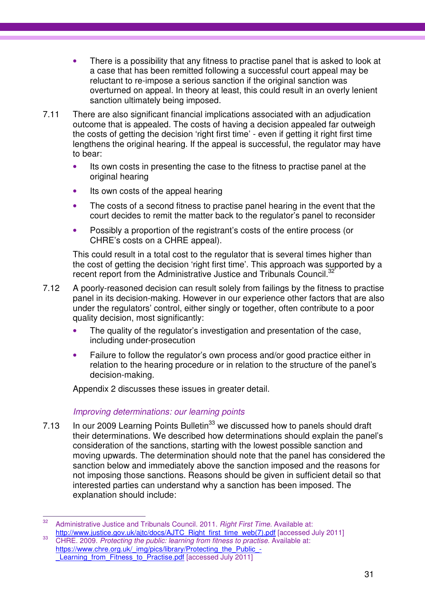- There is a possibility that any fitness to practise panel that is asked to look at a case that has been remitted following a successful court appeal may be reluctant to re-impose a serious sanction if the original sanction was overturned on appeal. In theory at least, this could result in an overly lenient sanction ultimately being imposed.
- 7.11 There are also significant financial implications associated with an adjudication outcome that is appealed. The costs of having a decision appealed far outweigh the costs of getting the decision 'right first time' - even if getting it right first time lengthens the original hearing. If the appeal is successful, the regulator may have to bear:
	- Its own costs in presenting the case to the fitness to practise panel at the original hearing
	- Its own costs of the appeal hearing
	- The costs of a second fitness to practise panel hearing in the event that the court decides to remit the matter back to the regulator's panel to reconsider
	- Possibly a proportion of the registrant's costs of the entire process (or CHRE's costs on a CHRE appeal).

This could result in a total cost to the regulator that is several times higher than the cost of getting the decision 'right first time'. This approach was supported by a recent report from the Administrative Justice and Tribunals Council.<sup>32</sup>

- 7.12 A poorly-reasoned decision can result solely from failings by the fitness to practise panel in its decision-making. However in our experience other factors that are also under the regulators' control, either singly or together, often contribute to a poor quality decision, most significantly:
	- The quality of the regulator's investigation and presentation of the case, including under-prosecution
	- Failure to follow the regulator's own process and/or good practice either in relation to the hearing procedure or in relation to the structure of the panel's decision-making.

Appendix 2 discusses these issues in greater detail.

### Improving determinations: our learning points

7.13 In our 2009 Learning Points Bulletin<sup>33</sup> we discussed how to panels should draft their determinations. We described how determinations should explain the panel's consideration of the sanctions, starting with the lowest possible sanction and moving upwards. The determination should note that the panel has considered the sanction below and immediately above the sanction imposed and the reasons for not imposing those sanctions. Reasons should be given in sufficient detail so that interested parties can understand why a sanction has been imposed. The explanation should include:

 $32$ Administrative Justice and Tribunals Council. 2011. Right First Time. Available at: http://www.justice.gov.uk/ajtc/docs/AJTC\_Right\_first\_time\_web(7).pdf [accessed July 2011]

<sup>&</sup>lt;sup>33</sup> CHRE. 2009. Protecting the public: learning from fitness to practise. Available at: https://www.chre.org.uk/\_img/pics/library/Protecting\_the\_Public\_-Learning from Fitness to Practise.pdf [accessed July 2011]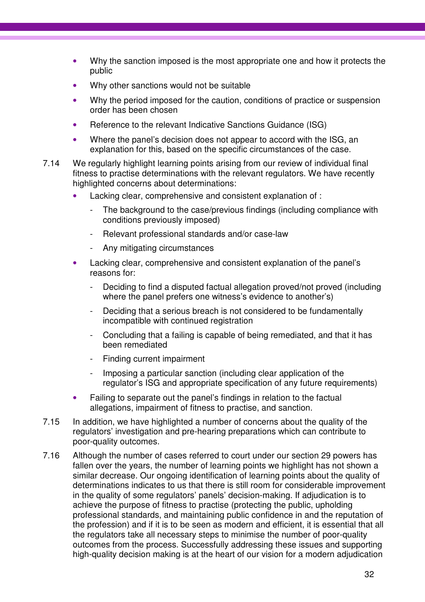- Why the sanction imposed is the most appropriate one and how it protects the public
- Why other sanctions would not be suitable
- Why the period imposed for the caution, conditions of practice or suspension order has been chosen
- Reference to the relevant Indicative Sanctions Guidance (ISG)
- Where the panel's decision does not appear to accord with the ISG, an explanation for this, based on the specific circumstances of the case.
- 7.14 We regularly highlight learning points arising from our review of individual final fitness to practise determinations with the relevant regulators. We have recently highlighted concerns about determinations:
	- Lacking clear, comprehensive and consistent explanation of :
		- The background to the case/previous findings (including compliance with conditions previously imposed)
		- Relevant professional standards and/or case-law
		- Any mitigating circumstances
	- Lacking clear, comprehensive and consistent explanation of the panel's reasons for:
		- Deciding to find a disputed factual allegation proved/not proved (including where the panel prefers one witness's evidence to another's)
		- Deciding that a serious breach is not considered to be fundamentally incompatible with continued registration
		- Concluding that a failing is capable of being remediated, and that it has been remediated
		- Finding current impairment
		- Imposing a particular sanction (including clear application of the regulator's ISG and appropriate specification of any future requirements)
	- Failing to separate out the panel's findings in relation to the factual allegations, impairment of fitness to practise, and sanction.
- 7.15 In addition, we have highlighted a number of concerns about the quality of the regulators' investigation and pre-hearing preparations which can contribute to poor-quality outcomes.
- 7.16 Although the number of cases referred to court under our section 29 powers has fallen over the years, the number of learning points we highlight has not shown a similar decrease. Our ongoing identification of learning points about the quality of determinations indicates to us that there is still room for considerable improvement in the quality of some regulators' panels' decision-making. If adjudication is to achieve the purpose of fitness to practise (protecting the public, upholding professional standards, and maintaining public confidence in and the reputation of the profession) and if it is to be seen as modern and efficient, it is essential that all the regulators take all necessary steps to minimise the number of poor-quality outcomes from the process. Successfully addressing these issues and supporting high-quality decision making is at the heart of our vision for a modern adjudication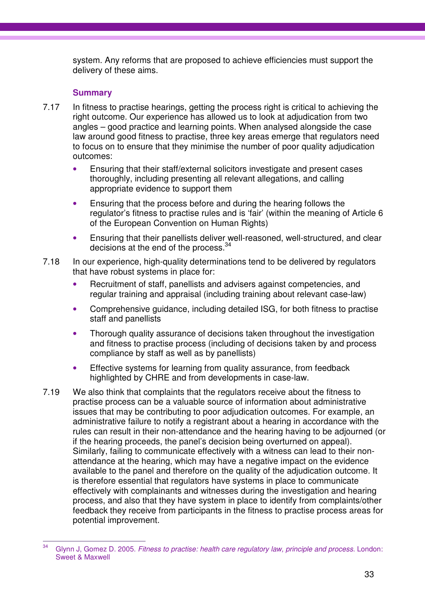system. Any reforms that are proposed to achieve efficiencies must support the delivery of these aims.

### **Summary**

- 7.17 In fitness to practise hearings, getting the process right is critical to achieving the right outcome. Our experience has allowed us to look at adjudication from two angles – good practice and learning points. When analysed alongside the case law around good fitness to practise, three key areas emerge that regulators need to focus on to ensure that they minimise the number of poor quality adjudication outcomes:
	- Ensuring that their staff/external solicitors investigate and present cases thoroughly, including presenting all relevant allegations, and calling appropriate evidence to support them
	- Ensuring that the process before and during the hearing follows the regulator's fitness to practise rules and is 'fair' (within the meaning of Article 6 of the European Convention on Human Rights)
	- Ensuring that their panellists deliver well-reasoned, well-structured, and clear decisions at the end of the process. $34$
- 7.18 In our experience, high-quality determinations tend to be delivered by regulators that have robust systems in place for:
	- Recruitment of staff, panellists and advisers against competencies, and regular training and appraisal (including training about relevant case-law)
	- Comprehensive guidance, including detailed ISG, for both fitness to practise staff and panellists
	- Thorough quality assurance of decisions taken throughout the investigation and fitness to practise process (including of decisions taken by and process compliance by staff as well as by panellists)
	- Effective systems for learning from quality assurance, from feedback highlighted by CHRE and from developments in case-law.
- 7.19 We also think that complaints that the regulators receive about the fitness to practise process can be a valuable source of information about administrative issues that may be contributing to poor adjudication outcomes. For example, an administrative failure to notify a registrant about a hearing in accordance with the rules can result in their non-attendance and the hearing having to be adjourned (or if the hearing proceeds, the panel's decision being overturned on appeal). Similarly, failing to communicate effectively with a witness can lead to their nonattendance at the hearing, which may have a negative impact on the evidence available to the panel and therefore on the quality of the adjudication outcome. It is therefore essential that regulators have systems in place to communicate effectively with complainants and witnesses during the investigation and hearing process, and also that they have system in place to identify from complaints/other feedback they receive from participants in the fitness to practise process areas for potential improvement.

 $\overline{a}$ Glynn J, Gomez D. 2005. Fitness to practise: health care regulatory law, principle and process. London: Sweet & Maxwell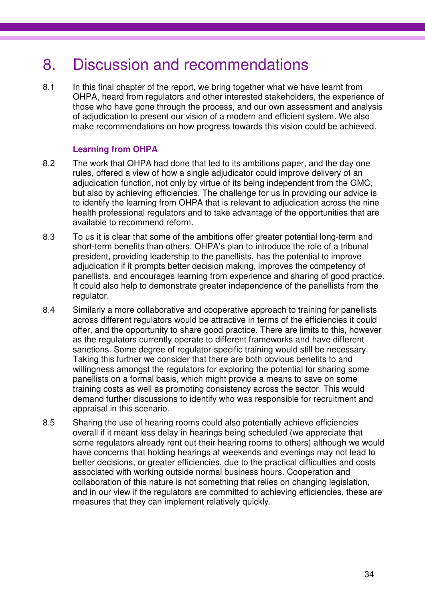### 8. Discussion and recommendations

8.1 In this final chapter of the report, we bring together what we have learnt from OHPA, heard from regulators and other interested stakeholders, the experience of those who have gone through the process, and our own assessment and analysis of adjudication to present our vision of a modern and efficient system. We also make recommendations on how progress towards this vision could be achieved.

### **Learning from OHPA**

- 8.2 The work that OHPA had done that led to its ambitions paper, and the day one rules, offered a view of how a single adjudicator could improve delivery of an adjudication function, not only by virtue of its being independent from the GMC, but also by achieving efficiencies. The challenge for us in providing our advice is to identify the learning from OHPA that is relevant to adjudication across the nine health professional regulators and to take advantage of the opportunities that are available to recommend reform.
- 8.3 To us it is clear that some of the ambitions offer greater potential long-term and short-term benefits than others. OHPA's plan to introduce the role of a tribunal president, providing leadership to the panellists, has the potential to improve adjudication if it prompts better decision making, improves the competency of panellists, and encourages learning from experience and sharing of good practice. It could also help to demonstrate greater independence of the panellists from the regulator.
- 8.4 Similarly a more collaborative and cooperative approach to training for panellists across different regulators would be attractive in terms of the efficiencies it could offer, and the opportunity to share good practice. There are limits to this, however as the regulators currently operate to different frameworks and have different sanctions. Some degree of regulator-specific training would still be necessary. Taking this further we consider that there are both obvious benefits to and willingness amongst the regulators for exploring the potential for sharing some panellists on a formal basis, which might provide a means to save on some training costs as well as promoting consistency across the sector. This would demand further discussions to identify who was responsible for recruitment and appraisal in this scenario.
- 8.5 Sharing the use of hearing rooms could also potentially achieve efficiencies overall if it meant less delay in hearings being scheduled (we appreciate that some regulators already rent out their hearing rooms to others) although we would have concerns that holding hearings at weekends and evenings may not lead to better decisions, or greater efficiencies, due to the practical difficulties and costs associated with working outside normal business hours. Cooperation and collaboration of this nature is not something that relies on changing legislation, and in our view if the regulators are committed to achieving efficiencies, these are measures that they can implement relatively quickly.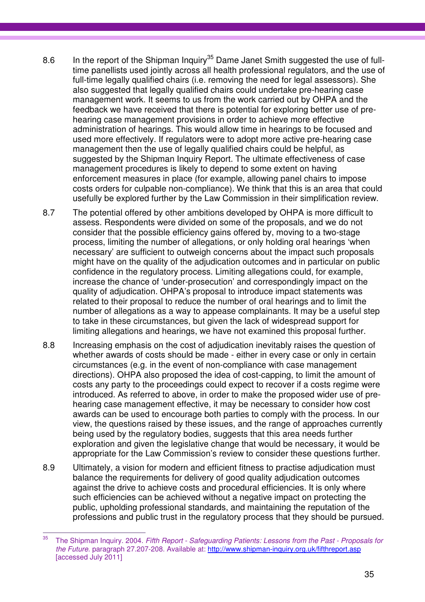- 8.6 In the report of the Shipman Inquiry<sup>35</sup> Dame Janet Smith suggested the use of fulltime panellists used jointly across all health professional regulators, and the use of full-time legally qualified chairs (i.e. removing the need for legal assessors). She also suggested that legally qualified chairs could undertake pre-hearing case management work. It seems to us from the work carried out by OHPA and the feedback we have received that there is potential for exploring better use of prehearing case management provisions in order to achieve more effective administration of hearings. This would allow time in hearings to be focused and used more effectively. If regulators were to adopt more active pre-hearing case management then the use of legally qualified chairs could be helpful, as suggested by the Shipman Inquiry Report. The ultimate effectiveness of case management procedures is likely to depend to some extent on having enforcement measures in place (for example, allowing panel chairs to impose costs orders for culpable non-compliance). We think that this is an area that could usefully be explored further by the Law Commission in their simplification review.
- 8.7 The potential offered by other ambitions developed by OHPA is more difficult to assess. Respondents were divided on some of the proposals, and we do not consider that the possible efficiency gains offered by, moving to a two-stage process, limiting the number of allegations, or only holding oral hearings 'when necessary' are sufficient to outweigh concerns about the impact such proposals might have on the quality of the adjudication outcomes and in particular on public confidence in the regulatory process. Limiting allegations could, for example, increase the chance of 'under-prosecution' and correspondingly impact on the quality of adjudication. OHPA's proposal to introduce impact statements was related to their proposal to reduce the number of oral hearings and to limit the number of allegations as a way to appease complainants. It may be a useful step to take in these circumstances, but given the lack of widespread support for limiting allegations and hearings, we have not examined this proposal further.
- 8.8 Increasing emphasis on the cost of adjudication inevitably raises the question of whether awards of costs should be made - either in every case or only in certain circumstances (e.g. in the event of non-compliance with case management directions). OHPA also proposed the idea of cost-capping, to limit the amount of costs any party to the proceedings could expect to recover if a costs regime were introduced. As referred to above, in order to make the proposed wider use of prehearing case management effective, it may be necessary to consider how cost awards can be used to encourage both parties to comply with the process. In our view, the questions raised by these issues, and the range of approaches currently being used by the regulatory bodies, suggests that this area needs further exploration and given the legislative change that would be necessary, it would be appropriate for the Law Commission's review to consider these questions further.
- 8.9 Ultimately, a vision for modern and efficient fitness to practise adjudication must balance the requirements for delivery of good quality adjudication outcomes against the drive to achieve costs and procedural efficiencies. It is only where such efficiencies can be achieved without a negative impact on protecting the public, upholding professional standards, and maintaining the reputation of the professions and public trust in the regulatory process that they should be pursued.

<sup>35</sup> The Shipman Inquiry. 2004. Fifth Report - Safeguarding Patients: Lessons from the Past - Proposals for the Future. paragraph 27.207-208. Available at: http://www.shipman-inquiry.org.uk/fifthreport.asp [accessed July 2011]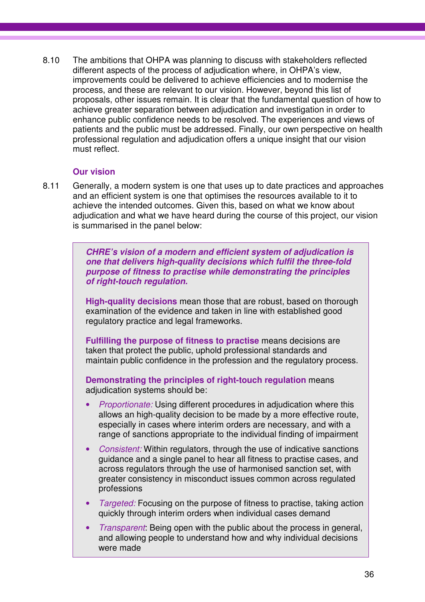8.10 The ambitions that OHPA was planning to discuss with stakeholders reflected different aspects of the process of adjudication where, in OHPA's view, improvements could be delivered to achieve efficiencies and to modernise the process, and these are relevant to our vision. However, beyond this list of proposals, other issues remain. It is clear that the fundamental question of how to achieve greater separation between adjudication and investigation in order to enhance public confidence needs to be resolved. The experiences and views of patients and the public must be addressed. Finally, our own perspective on health professional regulation and adjudication offers a unique insight that our vision must reflect.

### **Our vision**

8.11 Generally, a modern system is one that uses up to date practices and approaches and an efficient system is one that optimises the resources available to it to achieve the intended outcomes. Given this, based on what we know about adjudication and what we have heard during the course of this project, our vision is summarised in the panel below:

> **CHRE's vision of a modern and efficient system of adjudication is one that delivers high-quality decisions which fulfil the three-fold purpose of fitness to practise while demonstrating the principles of right-touch regulation.**

**High-quality decisions** mean those that are robust, based on thorough examination of the evidence and taken in line with established good regulatory practice and legal frameworks.

**Fulfilling the purpose of fitness to practise** means decisions are taken that protect the public, uphold professional standards and maintain public confidence in the profession and the regulatory process.

**Demonstrating the principles of right-touch regulation** means adjudication systems should be:

- *Proportionate:* Using different procedures in adjudication where this allows an high-quality decision to be made by a more effective route, especially in cases where interim orders are necessary, and with a range of sanctions appropriate to the individual finding of impairment
- Consistent: Within regulators, through the use of indicative sanctions guidance and a single panel to hear all fitness to practise cases, and across regulators through the use of harmonised sanction set, with greater consistency in misconduct issues common across regulated professions
- *Targeted:* Focusing on the purpose of fitness to practise, taking action quickly through interim orders when individual cases demand
- Transparent: Being open with the public about the process in general, and allowing people to understand how and why individual decisions were made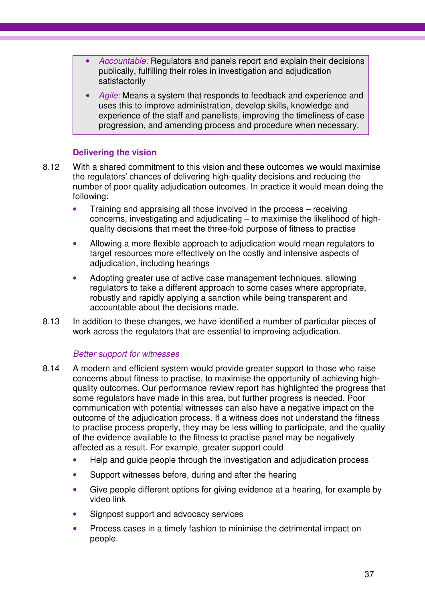- Accountable: Regulators and panels report and explain their decisions publically, fulfilling their roles in investigation and adjudication satisfactorily
- Agile: Means a system that responds to feedback and experience and uses this to improve administration, develop skills, knowledge and experience of the staff and panellists, improving the timeliness of case progression, and amending process and procedure when necessary.

### **Delivering the vision**

- 8.12 With a shared commitment to this vision and these outcomes we would maximise the regulators' chances of delivering high-quality decisions and reducing the number of poor quality adjudication outcomes. In practice it would mean doing the following:
	- Training and appraising all those involved in the process receiving concerns, investigating and adjudicating – to maximise the likelihood of highquality decisions that meet the three-fold purpose of fitness to practise
	- Allowing a more flexible approach to adjudication would mean regulators to target resources more effectively on the costly and intensive aspects of adjudication, including hearings
	- Adopting greater use of active case management techniques, allowing regulators to take a different approach to some cases where appropriate, robustly and rapidly applying a sanction while being transparent and accountable about the decisions made.
- 8.13 In addition to these changes, we have identified a number of particular pieces of work across the regulators that are essential to improving adjudication.

#### Better support for witnesses

- 8.14 A modern and efficient system would provide greater support to those who raise concerns about fitness to practise, to maximise the opportunity of achieving highquality outcomes. Our performance review report has highlighted the progress that some regulators have made in this area, but further progress is needed. Poor communication with potential witnesses can also have a negative impact on the outcome of the adjudication process. If a witness does not understand the fitness to practise process properly, they may be less willing to participate, and the quality of the evidence available to the fitness to practise panel may be negatively affected as a result. For example, greater support could
	- Help and quide people through the investigation and adjudication process
	- Support witnesses before, during and after the hearing
	- Give people different options for giving evidence at a hearing, for example by video link
	- Signpost support and advocacy services
	- Process cases in a timely fashion to minimise the detrimental impact on people.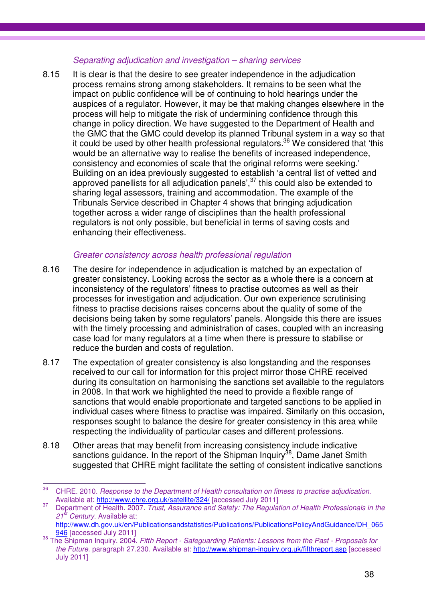### Separating adjudication and investigation – sharing services

8.15 It is clear is that the desire to see greater independence in the adjudication process remains strong among stakeholders. It remains to be seen what the impact on public confidence will be of continuing to hold hearings under the auspices of a regulator. However, it may be that making changes elsewhere in the process will help to mitigate the risk of undermining confidence through this change in policy direction. We have suggested to the Department of Health and the GMC that the GMC could develop its planned Tribunal system in a way so that it could be used by other health professional regulators.<sup>36</sup> We considered that 'this would be an alternative way to realise the benefits of increased independence, consistency and economies of scale that the original reforms were seeking.' Building on an idea previously suggested to establish 'a central list of vetted and approved panellists for all adjudication panels',<sup>37</sup> this could also be extended to sharing legal assessors, training and accommodation. The example of the Tribunals Service described in Chapter 4 shows that bringing adjudication together across a wider range of disciplines than the health professional regulators is not only possible, but beneficial in terms of saving costs and enhancing their effectiveness.

### Greater consistency across health professional regulation

- 8.16 The desire for independence in adjudication is matched by an expectation of greater consistency. Looking across the sector as a whole there is a concern at inconsistency of the regulators' fitness to practise outcomes as well as their processes for investigation and adjudication. Our own experience scrutinising fitness to practise decisions raises concerns about the quality of some of the decisions being taken by some regulators' panels. Alongside this there are issues with the timely processing and administration of cases, coupled with an increasing case load for many regulators at a time when there is pressure to stabilise or reduce the burden and costs of regulation.
- 8.17 The expectation of greater consistency is also longstanding and the responses received to our call for information for this project mirror those CHRE received during its consultation on harmonising the sanctions set available to the regulators in 2008. In that work we highlighted the need to provide a flexible range of sanctions that would enable proportionate and targeted sanctions to be applied in individual cases where fitness to practise was impaired. Similarly on this occasion, responses sought to balance the desire for greater consistency in this area while respecting the individuality of particular cases and different professions.
- 8.18 Other areas that may benefit from increasing consistency include indicative sanctions guidance. In the report of the Shipman Inquiry<sup>38</sup>, Dame Janet Smith suggested that CHRE might facilitate the setting of consistent indicative sanctions

<sup>36</sup> CHRE. 2010. Response to the Department of Health consultation on fitness to practise adjudication. Available at: http://www.chre.org.uk/satellite/324/ [accessed July 2011]

<sup>&</sup>lt;sup>37</sup> Department of Health. 2007. Trust, Assurance and Safety: The Regulation of Health Professionals in the  $21^{st}$  Century. Available at: http://www.dh.gov.uk/en/Publicationsandstatistics/Publications/PublicationsPolicyAndGuidance/DH\_065

<sup>946 [</sup>accessed July 2011] 38 The Shipman Inquiry. 2004. Fifth Report - Safeguarding Patients: Lessons from the Past - Proposals for the Future. paragraph 27.230. Available at: http://www.shipman-inquiry.org.uk/fifthreport.asp [accessed

July 2011]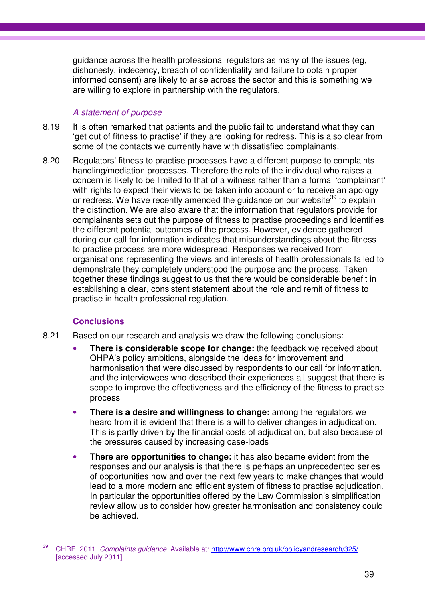guidance across the health professional regulators as many of the issues (eg, dishonesty, indecency, breach of confidentiality and failure to obtain proper informed consent) are likely to arise across the sector and this is something we are willing to explore in partnership with the regulators.

### A statement of purpose

- 8.19 It is often remarked that patients and the public fail to understand what they can 'get out of fitness to practise' if they are looking for redress. This is also clear from some of the contacts we currently have with dissatisfied complainants.
- 8.20 Regulators' fitness to practise processes have a different purpose to complaintshandling/mediation processes. Therefore the role of the individual who raises a concern is likely to be limited to that of a witness rather than a formal 'complainant' with rights to expect their views to be taken into account or to receive an apology or redress. We have recently amended the quidance on our website<sup>39</sup> to explain the distinction. We are also aware that the information that regulators provide for complainants sets out the purpose of fitness to practise proceedings and identifies the different potential outcomes of the process. However, evidence gathered during our call for information indicates that misunderstandings about the fitness to practise process are more widespread. Responses we received from organisations representing the views and interests of health professionals failed to demonstrate they completely understood the purpose and the process. Taken together these findings suggest to us that there would be considerable benefit in establishing a clear, consistent statement about the role and remit of fitness to practise in health professional regulation.

### **Conclusions**

- 8.21 Based on our research and analysis we draw the following conclusions:
	- **There is considerable scope for change:** the feedback we received about OHPA's policy ambitions, alongside the ideas for improvement and harmonisation that were discussed by respondents to our call for information, and the interviewees who described their experiences all suggest that there is scope to improve the effectiveness and the efficiency of the fitness to practise process
	- **There is a desire and willingness to change:** among the regulators we heard from it is evident that there is a will to deliver changes in adjudication. This is partly driven by the financial costs of adjudication, but also because of the pressures caused by increasing case-loads
	- **There are opportunities to change:** it has also became evident from the responses and our analysis is that there is perhaps an unprecedented series of opportunities now and over the next few years to make changes that would lead to a more modern and efficient system of fitness to practise adjudication. In particular the opportunities offered by the Law Commission's simplification review allow us to consider how greater harmonisation and consistency could be achieved.

 $39$ CHRE. 2011. Complaints guidance. Available at: http://www.chre.org.uk/policyandresearch/325/ [accessed July 2011]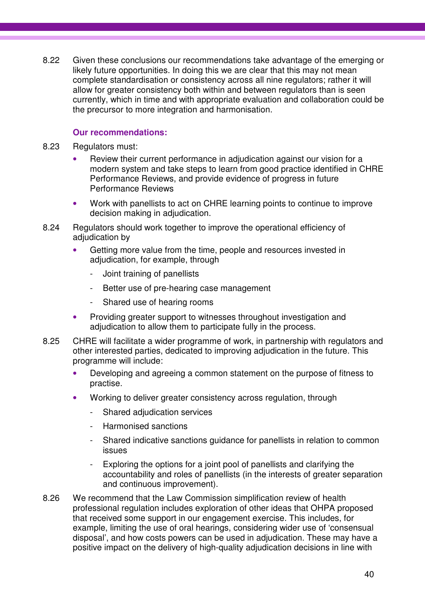8.22 Given these conclusions our recommendations take advantage of the emerging or likely future opportunities. In doing this we are clear that this may not mean complete standardisation or consistency across all nine regulators; rather it will allow for greater consistency both within and between regulators than is seen currently, which in time and with appropriate evaluation and collaboration could be the precursor to more integration and harmonisation.

### **Our recommendations:**

- 8.23 Regulators must:
	- Review their current performance in adjudication against our vision for a modern system and take steps to learn from good practice identified in CHRE Performance Reviews, and provide evidence of progress in future Performance Reviews
	- Work with panellists to act on CHRE learning points to continue to improve decision making in adjudication.
- 8.24 Regulators should work together to improve the operational efficiency of adjudication by
	- Getting more value from the time, people and resources invested in adjudication, for example, through
		- Joint training of panellists
		- Better use of pre-hearing case management
		- Shared use of hearing rooms
	- Providing greater support to witnesses throughout investigation and adjudication to allow them to participate fully in the process.
- 8.25 CHRE will facilitate a wider programme of work, in partnership with regulators and other interested parties, dedicated to improving adjudication in the future. This programme will include:
	- Developing and agreeing a common statement on the purpose of fitness to practise.
	- Working to deliver greater consistency across regulation, through
		- Shared adjudication services
		- Harmonised sanctions
		- Shared indicative sanctions guidance for panellists in relation to common issues
		- Exploring the options for a joint pool of panellists and clarifying the accountability and roles of panellists (in the interests of greater separation and continuous improvement).
- 8.26 We recommend that the Law Commission simplification review of health professional regulation includes exploration of other ideas that OHPA proposed that received some support in our engagement exercise. This includes, for example, limiting the use of oral hearings, considering wider use of 'consensual disposal', and how costs powers can be used in adjudication. These may have a positive impact on the delivery of high-quality adjudication decisions in line with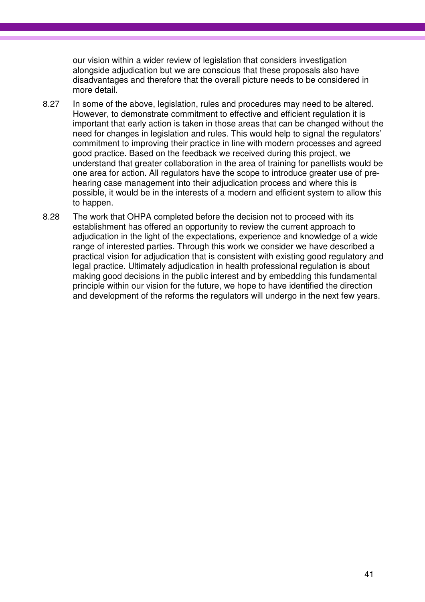our vision within a wider review of legislation that considers investigation alongside adjudication but we are conscious that these proposals also have disadvantages and therefore that the overall picture needs to be considered in more detail.

- 8.27 In some of the above, legislation, rules and procedures may need to be altered. However, to demonstrate commitment to effective and efficient regulation it is important that early action is taken in those areas that can be changed without the need for changes in legislation and rules. This would help to signal the regulators' commitment to improving their practice in line with modern processes and agreed good practice. Based on the feedback we received during this project, we understand that greater collaboration in the area of training for panellists would be one area for action. All regulators have the scope to introduce greater use of prehearing case management into their adjudication process and where this is possible, it would be in the interests of a modern and efficient system to allow this to happen.
- 8.28 The work that OHPA completed before the decision not to proceed with its establishment has offered an opportunity to review the current approach to adjudication in the light of the expectations, experience and knowledge of a wide range of interested parties. Through this work we consider we have described a practical vision for adjudication that is consistent with existing good regulatory and legal practice. Ultimately adjudication in health professional regulation is about making good decisions in the public interest and by embedding this fundamental principle within our vision for the future, we hope to have identified the direction and development of the reforms the regulators will undergo in the next few years.